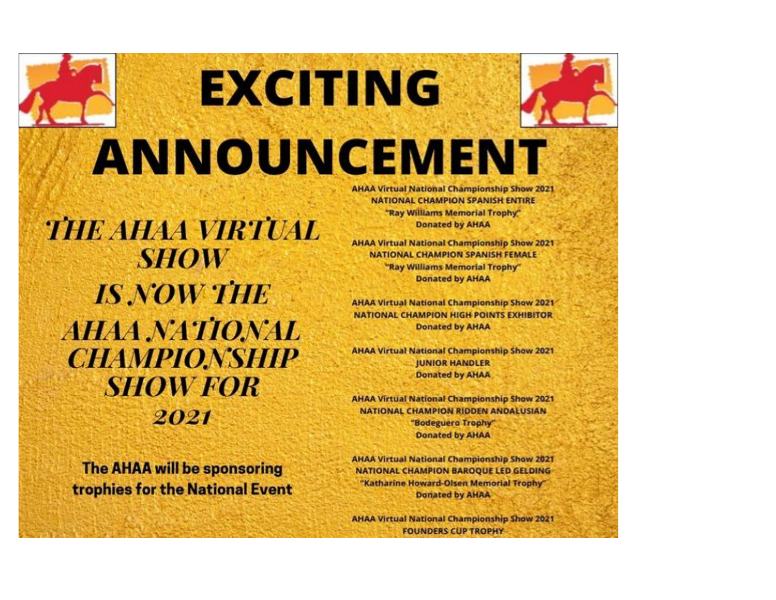# EXCHING ANNOUNCEMENT

**THE AHAA VIRTUAL SHOW IS NOW THE AHAA NATIONAL CHAMPIONSHIP SHOW FOR** 2021

**The AHAA will be sponsoring** trophies for the National Event **AHAA Virtual National Championship Show 2021 NATIONAL CHAMPION SPANISH ENTIRE** "Ray Williams Memorial Trophy" **Donated by AHAA** 

**AHAA Virtual National Championship Show 2021 NATIONAL CHAMPION SPANISH FEMALE** "Ray Williams Memorial Trophy" **Donated by AHAA** 

**AHAA Virtual National Championship Show 2021 NATIONAL CHAMPION HIGH POINTS EXHIBITOR Donated by AHAA** 

**AHAA Virtual National Championship Show 2021 JUNIOR HANDLER Donated by AHAA** 

**AHAA Virtual National Championship Show 2021** NATIONAL CHAMPION RIDDEN ANDALUSIAN "Bodeguero Trophy" **Donated by AHAA** 

**AHAA Virtual National Championship Show 2021 NATIONAL CHAMPION BAROQUE LED GELDING** "Katharine Howard-Olsen Memorial Trophy" **Donated by AHAA** 

**AHAA Virtual National Championship Show 2021 FOUNDERS CUP TROPHY**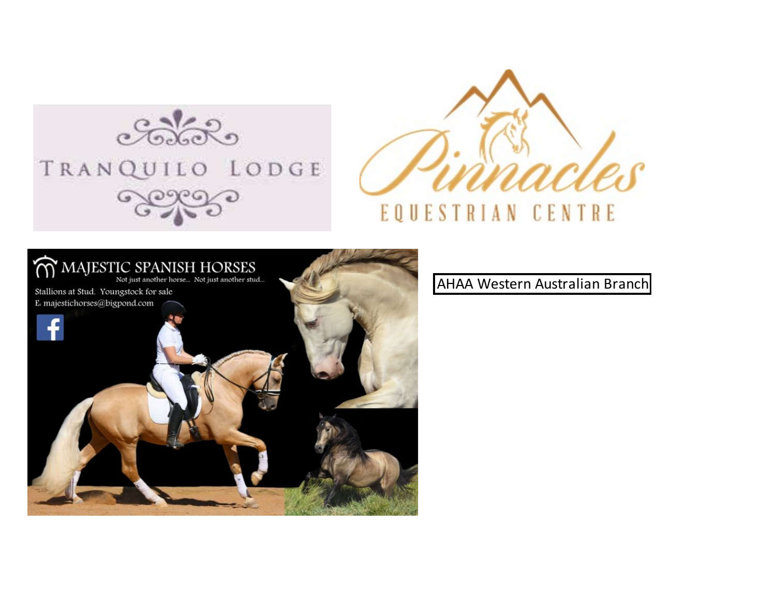





AHAA Western Australian Branch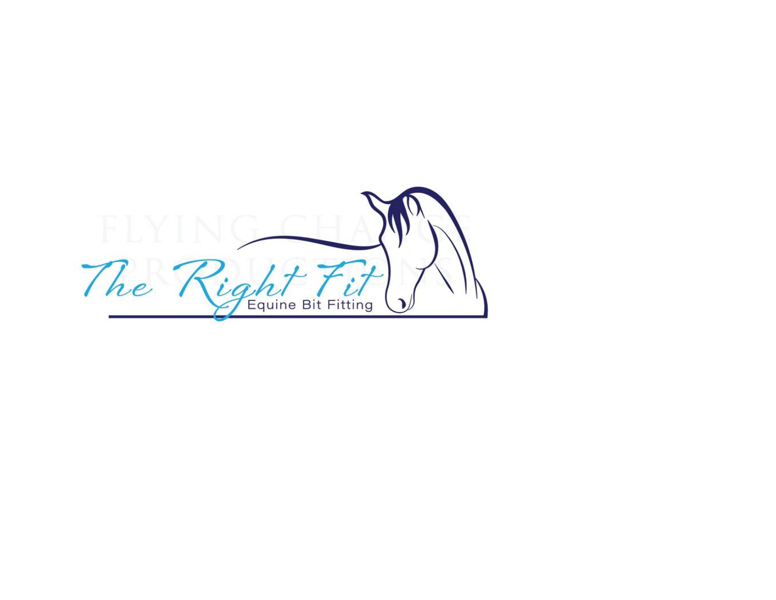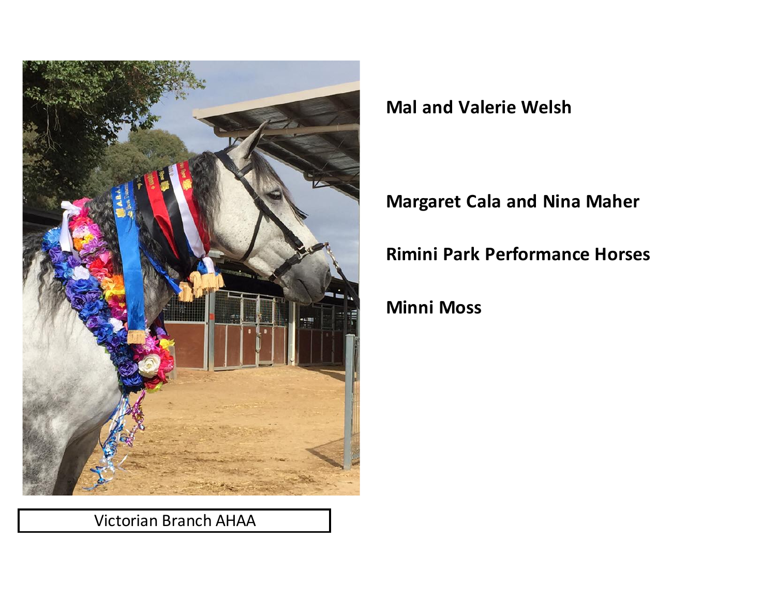

Victorian Branch AHAA

**Mal and Valerie Welsh**

## **Margaret Cala and Nina Maher**

**Rimini Park Performance Horses**

## **Minni Moss**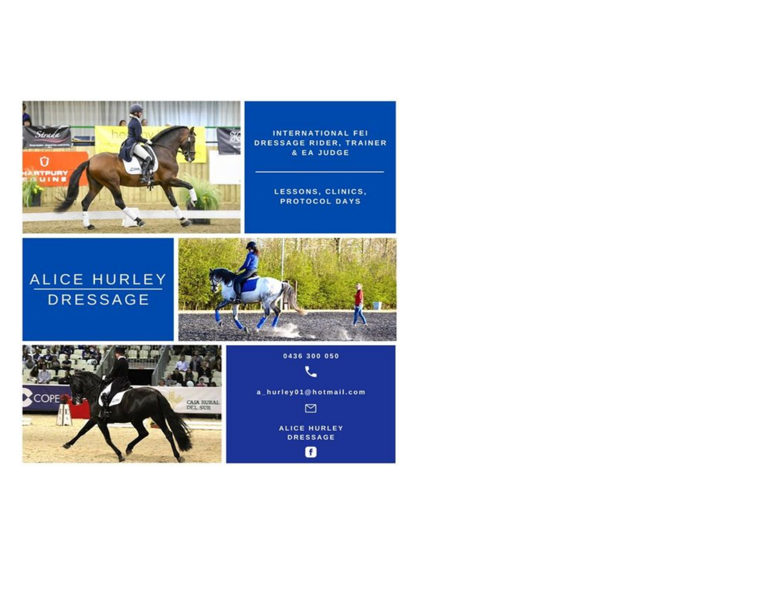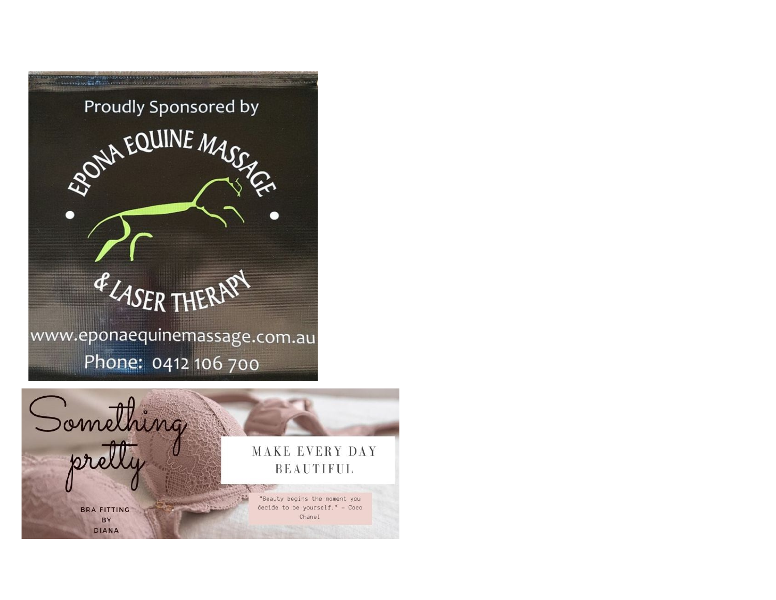

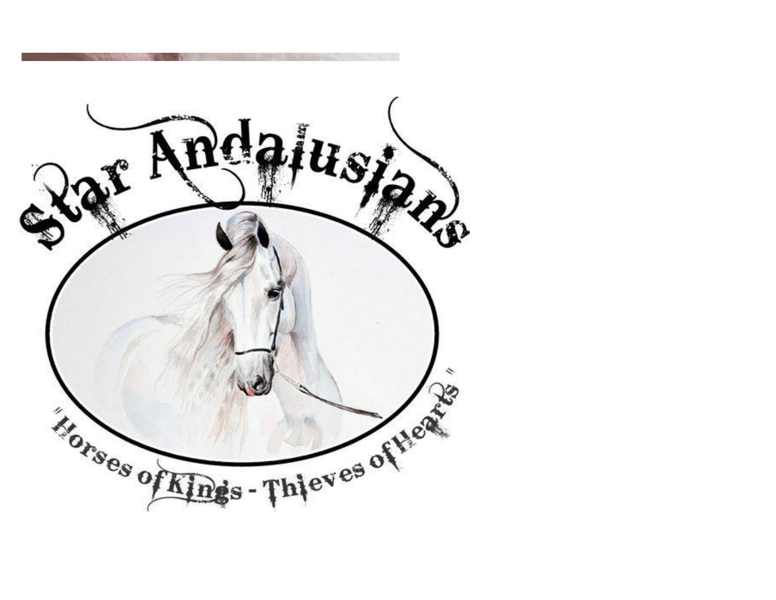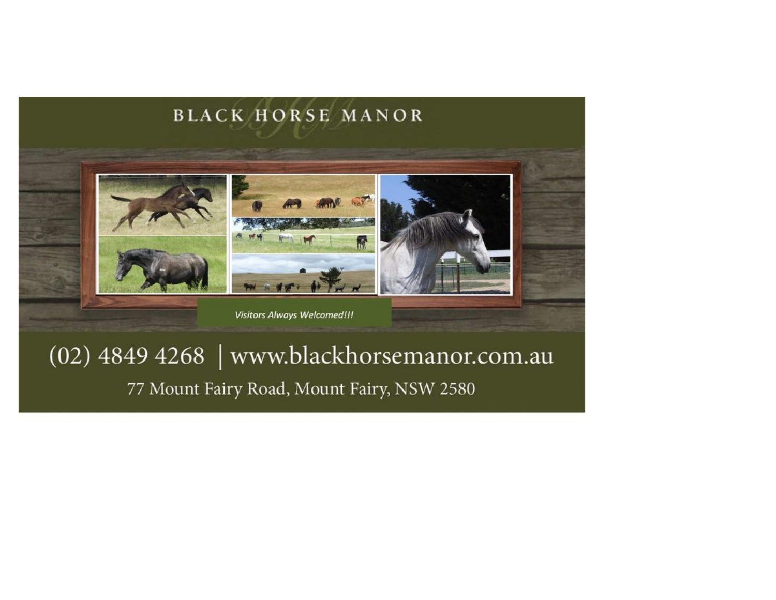

## (02) 4849 4268 | www.blackhorsemanor.com.au 77 Mount Fairy Road, Mount Fairy, NSW 2580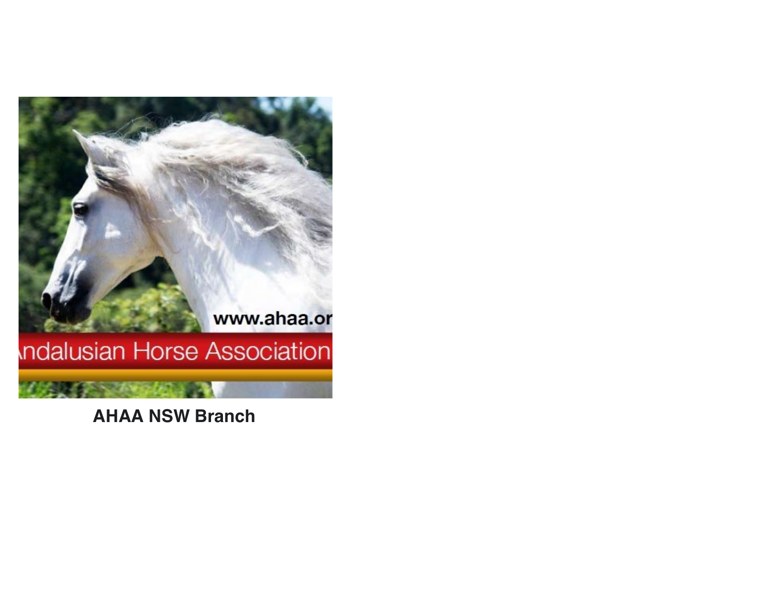

**AHAA NSW Branch**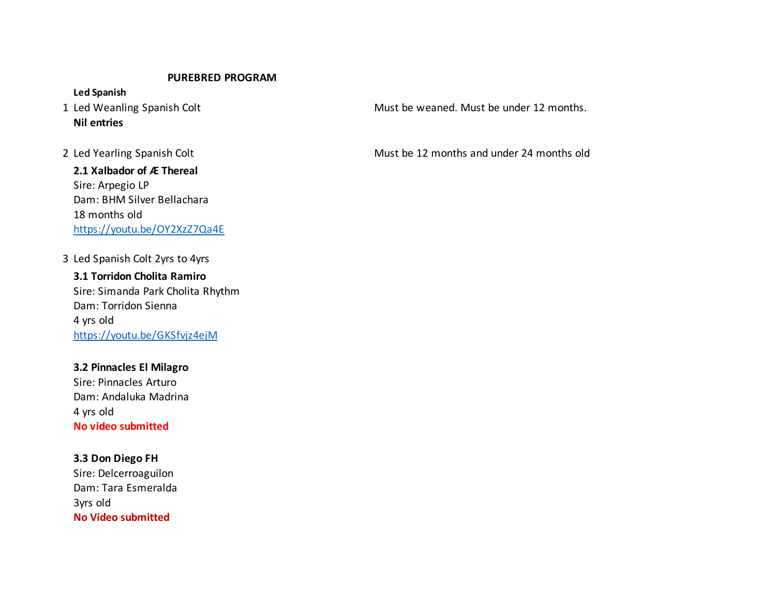#### **PUREBRED PROGRAM**

**Led Spanish Nil entries**

**2.1 Xalbador of Æ Thereal** Sire: Arpegio LP Dam: BHM Silver Bellachara 18 months old https://youtu.be/OY2XzZ7Qa4E

3 Led Spanish Colt 2yrs to 4yrs

**3.1 Torridon Cholita Ramiro** Sire: Simanda Park Cholita Rhythm Dam: Torridon Sienna 4 yrs old https://youtu.be/GKSfvjz4ejM

**3.2 Pinnacles El Milagro** Sire: Pinnacles Arturo Dam: Andaluka Madrina 4 yrs old **No video submitted**

**3.3 Don Diego FH** Sire: Delcerroaguilon Dam: Tara Esmeralda 3yrs old **No Video submitted**

1 Led Weanling Spanish Colt **Must be weaned.** Must be weaned. Must be under 12 months.

2 Led Yearling Spanish Colt **Must be 12 months and under 24 months old**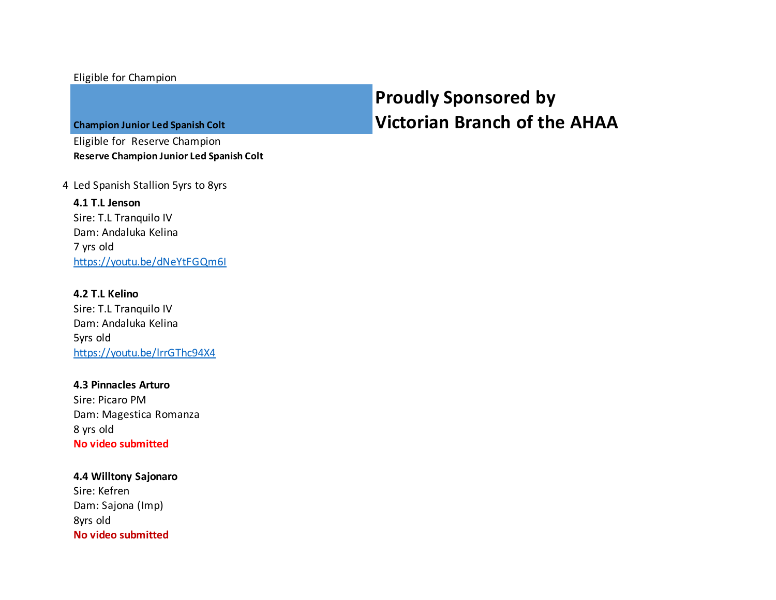#### Eligible for Champion

**Champion Junior Led Spanish Colt**

Eligible for Reserve Champion **Reserve Champion Junior Led Spanish Colt**

4 Led Spanish Stallion 5yrs to 8yrs

**4.1 T.L Jenson** Sire: T.L Tranquilo IV Dam: Andaluka Kelina 7 yrs old https://youtu.be/dNeYtFGQm6I

**4.2 T.L Kelino** Sire: T.L Tranquilo IV Dam: Andaluka Kelina 5yrs old https://youtu.be/lrrGThc94X4

**4.3 Pinnacles Arturo** Sire: Picaro PM Dam: Magestica Romanza 8 yrs old **No video submitted**

**4.4 Willtony Sajonaro** Sire: Kefren Dam: Sajona (Imp) 8yrs old **No video submitted**

## **Proudly Sponsored by Victorian Branch of the AHAA**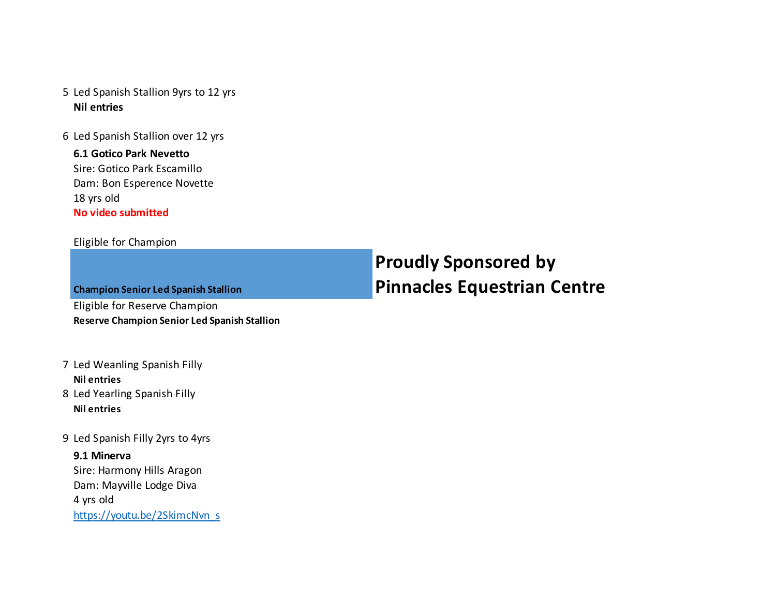- 5 Led Spanish Stallion 9yrs to 12 yrs **Nil entries**
- 6 Led Spanish Stallion over 12 yrs

#### **6.1 Gotico Park Nevetto** Sire: Gotico Park Escamillo Dam: Bon Esperence Novette 18 yrs old

**No video submitted**

#### Eligible for Champion

| <b>Champion Senior Led Spanish Stallion</b>  |  |  |  |
|----------------------------------------------|--|--|--|
| Eligible for Reserve Champion                |  |  |  |
| Reserve Champion Senior Led Spanish Stallion |  |  |  |

### 7 Led Weanling Spanish Filly **Nil entries**

- 8 Led Yearling Spanish Filly **Nil entries**
- 9 Led Spanish Filly 2yrs to 4yrs

#### **9.1 Minerva**

Sire: Harmony Hills Aragon Dam: Mayville Lodge Diva 4 yrs old https://youtu.be/2SkimcNvn\_s

## **Proudly Sponsored by Pinnacles Equestrian Centre**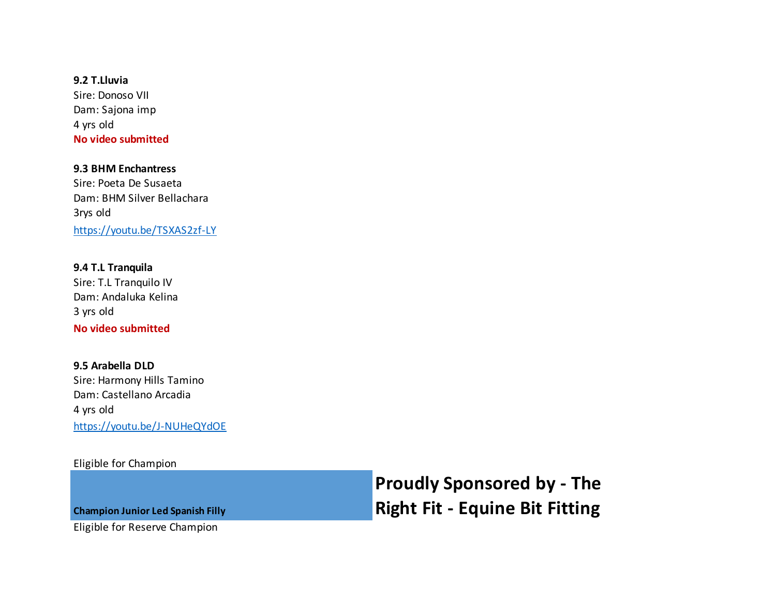**9.2 T.Lluvia** Sire: Donoso VII Dam: Sajona imp 4 yrs old **No video submitted**

**9.3 BHM Enchantress** Sire: Poeta De Susaeta Dam: BHM Silver Bellachara 3rys old https://youtu.be/TSXAS2zf-LY

**9.4 T.L Tranquila** Sire: T.L Tranquilo IV Dam: Andaluka Kelina 3 yrs old **No video submitted**

**9.5 Arabella DLD** Sire: Harmony Hills Tamino Dam: Castellano Arcadia 4 yrs old https://youtu.be/J-NUHeQYdOE

Eligible for Champion

**Proudly Sponsored by - The Right Fit - Equine Bit Fitting**

**Champion Junior Led Spanish Filly**

Eligible for Reserve Champion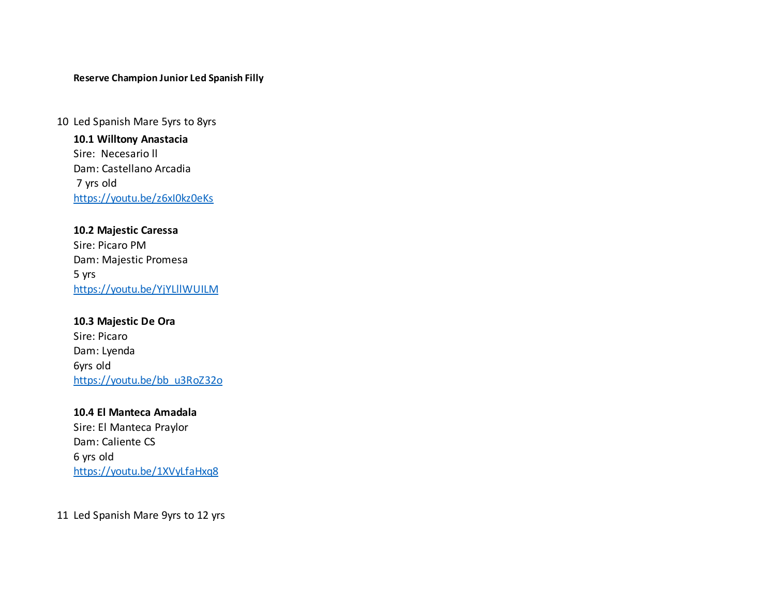#### **Reserve Champion Junior Led Spanish Filly**

10 Led Spanish Mare 5yrs to 8yrs

**10.1 Willtony Anastacia** Sire: Necesario ll Dam: Castellano Arcadia 7 yrs old https://youtu.be/z6xI0kz0eKs

#### **10.2 Majestic Caressa**

Sire: Picaro PM Dam: Majestic Promesa 5 yrs https://youtu.be/YjYLllWUILM

**10.3 Majestic De Ora** Sire: Picaro Dam: Lyenda 6yrs old https://youtu.be/bb\_u3RoZ32o

**10.4 El Manteca Amadala** Sire: El Manteca Praylor Dam: Caliente CS 6 yrs old https://youtu.be/1XVyLfaHxq8

11 Led Spanish Mare 9yrs to 12 yrs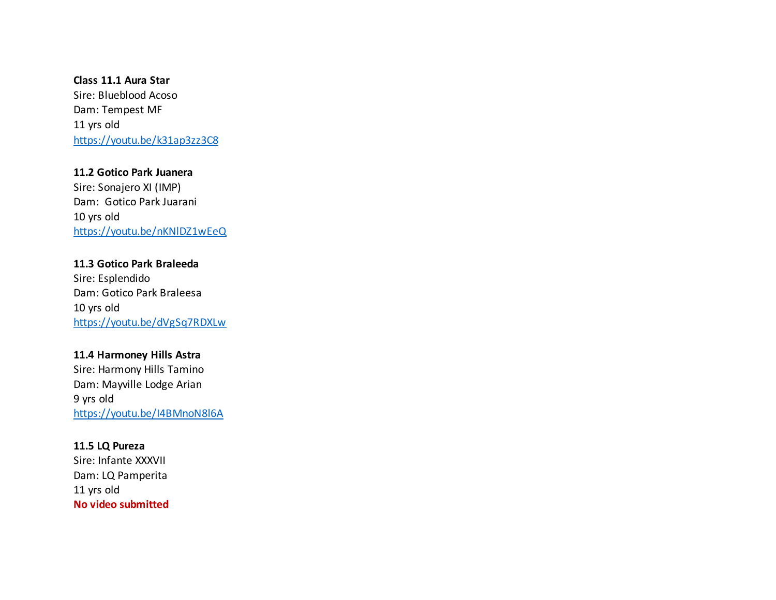**Class 11.1 Aura Star** Sire: Blueblood Acoso Dam: Tempest MF 11 yrs old https://youtu.be/k31ap3zz3C8

**11.2 Gotico Park Juanera** Sire: Sonajero XI (IMP) Dam: Gotico Park Juarani 10 yrs old https://youtu.be/nKNlDZ1wEeQ

**11.3 Gotico Park Braleeda** Sire: Esplendido Dam: Gotico Park Braleesa 10 yrs old https://youtu.be/dVgSq7RDXLw

**11.4 Harmoney Hills Astra** Sire: Harmony Hills Tamino Dam: Mayville Lodge Arian 9 yrs old https://youtu.be/I4BMnoN8l6A

**11.5 LQ Pureza** Sire: Infante XXXVII Dam: LQ Pamperita 11 yrs old **No video submitted**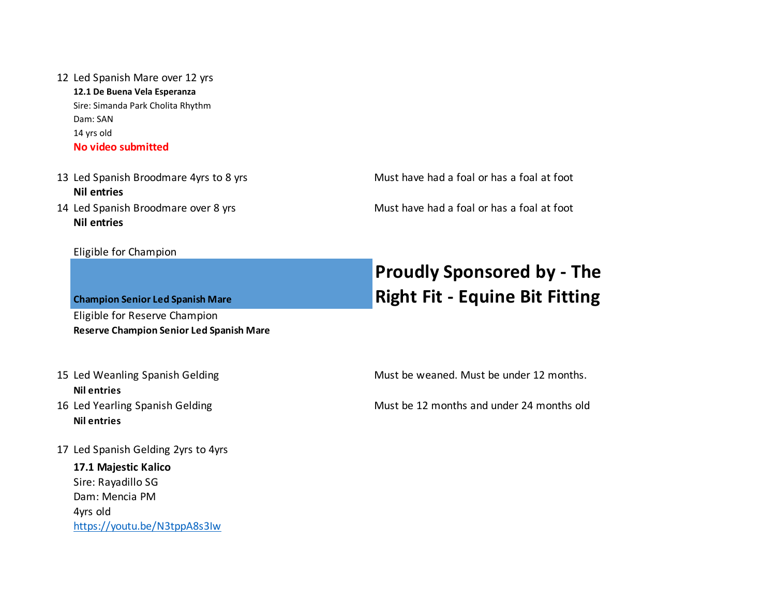#### 12 Led Spanish Mare over 12 yrs

**12.1 De Buena Vela Esperanza** Sire: Simanda Park Cholita Rhythm Dam: SAN 14 yrs old **No video submitted**

13 Led Spanish Broodmare 4yrs to 8 yrs Must have had a foal or has a foal at foot **Nil entries** 14 Led Spanish Broodmare over 8 yrs Must have had a foal or has a foal at foot

#### **Nil entries**

#### Eligible for Champion

**Champion Senior Led Spanish Mare** Eligible for Reserve Champion **Reserve Champion Senior Led Spanish Mare**

## **Nil entries**

- **Nil entries**
- 17 Led Spanish Gelding 2yrs to 4yrs

**17.1 Majestic Kalico**  Sire: Rayadillo SG Dam: Mencia PM 4yrs old https://youtu.be/N3tppA8s3Iw

## **Proudly Sponsored by - The Right Fit - Equine Bit Fitting**

15 Led Weanling Spanish Gelding Must be weaned. Must be under 12 months.

16 Led Yearling Spanish Gelding Must be 12 months and under 24 months old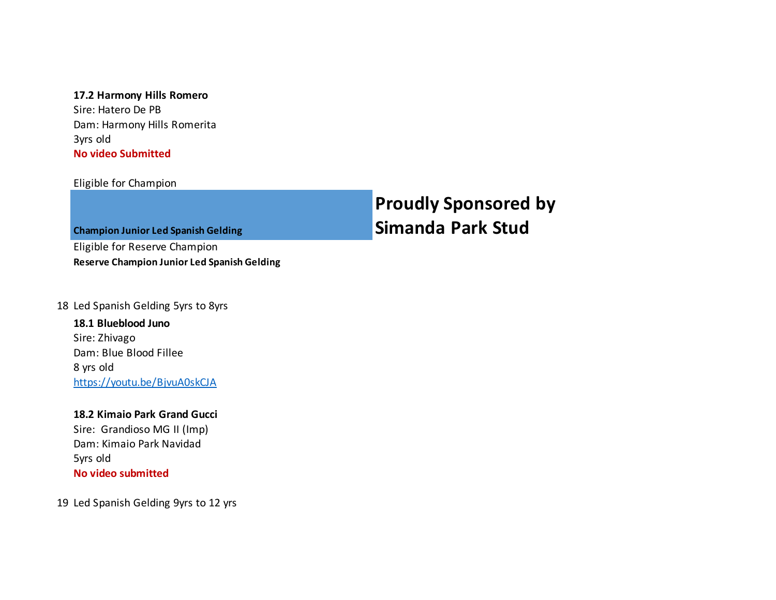#### **17.2 Harmony Hills Romero**

Sire: Hatero De PB Dam: Harmony Hills Romerita 3yrs old **No video Submitted**

#### Eligible for Champion

## **Proudly Sponsored by Simanda Park Stud**

**Champion Junior Led Spanish Gelding**

Eligible for Reserve Champion **Reserve Champion Junior Led Spanish Gelding**

#### 18 Led Spanish Gelding 5yrs to 8yrs

**18.1 Blueblood Juno** Sire: Zhivago Dam: Blue Blood Fillee 8 yrs old https://youtu.be/BjvuA0skCJA

**18.2 Kimaio Park Grand Gucci** Sire: Grandioso MG II (Imp) Dam: Kimaio Park Navidad 5yrs old **No video submitted**

19 Led Spanish Gelding 9yrs to 12 yrs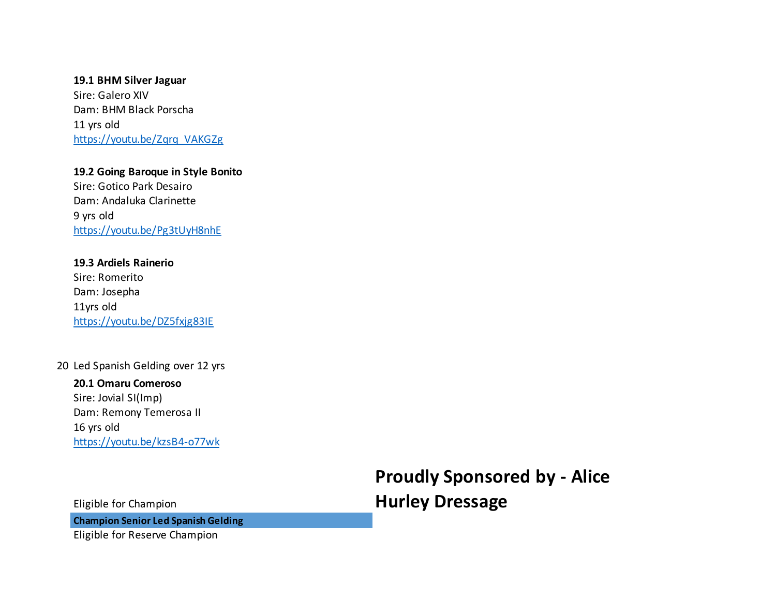**19.1 BHM Silver Jaguar** Sire: Galero XIV Dam: BHM Black Porscha 11 yrs old https://youtu.be/Zqrq\_VAKGZg

**19.2 Going Baroque in Style Bonito**  Sire: Gotico Park Desairo Dam: Andaluka Clarinette 9 yrs old https://youtu.be/Pg3tUyH8nhE

**19.3 Ardiels Rainerio** Sire: Romerito Dam: Josepha 11yrs old https://youtu.be/DZ5fxjg83IE

#### 20 Led Spanish Gelding over 12 yrs

**20.1 Omaru Comeroso** Sire: Jovial SI(Imp) Dam: Remony Temerosa II 16 yrs old https://youtu.be/kzsB4-o77wk

> **Proudly Sponsored by - Alice Hurley Dressage**

Eligible for Champion

**Champion Senior Led Spanish Gelding**

Eligible for Reserve Champion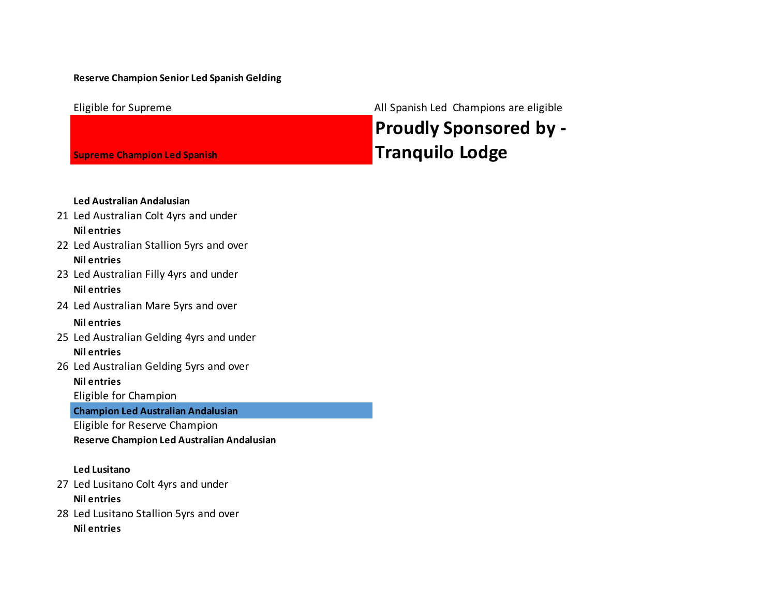#### **Reserve Champion Senior Led Spanish Gelding**

Eligible for Supreme **All Spanish Led Champions are eligible** 

## **Proudly Sponsored by - Tranquilo Lodge**

#### **Led Australian Andalusian** 21 Led Australian Colt 4yrs and under **Nil entries**

**Supreme Champion Led Spanish** 

- 22 Led Australian Stallion 5yrs and over **Nil entries**
- 23 Led Australian Filly 4yrs and under **Nil entries**
- 24 Led Australian Mare 5yrs and over

#### **Nil entries**

- 25 Led Australian Gelding 4yrs and under **Nil entries**
- 26 Led Australian Gelding 5yrs and over

**Nil entries**

Eligible for Champion

**Champion Led Australian Andalusian**

Eligible for Reserve Champion

**Reserve Champion Led Australian Andalusian**

#### **Led Lusitano**

- 27 Led Lusitano Colt 4yrs and under **Nil entries**
- 28 Led Lusitano Stallion 5yrs and over **Nil entries**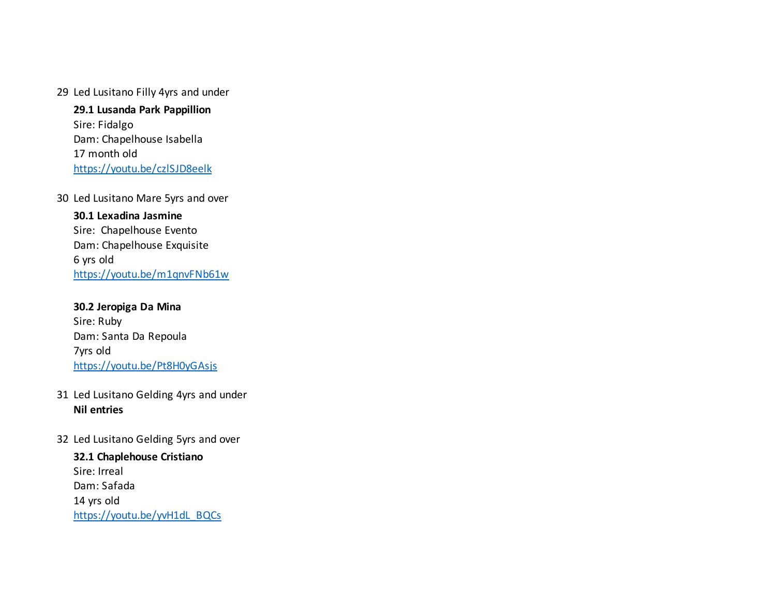#### 29 Led Lusitano Filly 4yrs and under

**29.1 Lusanda Park Pappillion** Sire: Fidalgo Dam: Chapelhouse Isabella 17 month old https://youtu.be/czlSJD8eelk

30 Led Lusitano Mare 5yrs and over

**30.1 Lexadina Jasmine** Sire: Chapelhouse Evento Dam: Chapelhouse Exquisite 6 yrs old https://youtu.be/m1qnvFNb61w

**30.2 Jeropiga Da Mina** Sire: Ruby Dam: Santa Da Repoula 7yrs old https://youtu.be/Pt8H0yGAsjs

#### 31 Led Lusitano Gelding 4yrs and under **Nil entries**

32 Led Lusitano Gelding 5yrs and over

**32.1 Chaplehouse Cristiano** Sire: Irreal Dam: Safada 14 yrs old https://youtu.be/yvH1dL\_BQCs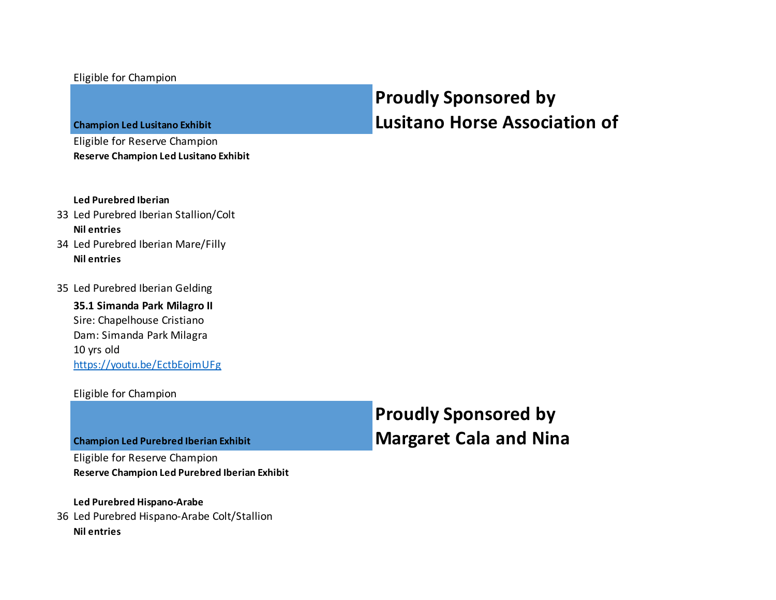#### Eligible for Champion

**Champion Led Lusitano Exhibit**

Eligible for Reserve Champion **Reserve Champion Led Lusitano Exhibit**

## **Proudly Sponsored by Lusitano Horse Association of**

#### **Led Purebred Iberian**

#### 33 Led Purebred Iberian Stallion/Colt **Nil entries**

- 34 Led Purebred Iberian Mare/Filly **Nil entries**
- 35 Led Purebred Iberian Gelding

**35.1 Simanda Park Milagro II** Sire: Chapelhouse Cristiano Dam: Simanda Park Milagra 10 yrs old https://youtu.be/EctbEojmUFg

#### Eligible for Champion

**Champion Led Purebred Iberian Exhibit**

Eligible for Reserve Champion **Reserve Champion Led Purebred Iberian Exhibit** **Proudly Sponsored by Margaret Cala and Nina** 

#### **Led Purebred Hispano-Arabe**

36 Led Purebred Hispano-Arabe Colt/Stallion **Nil entries**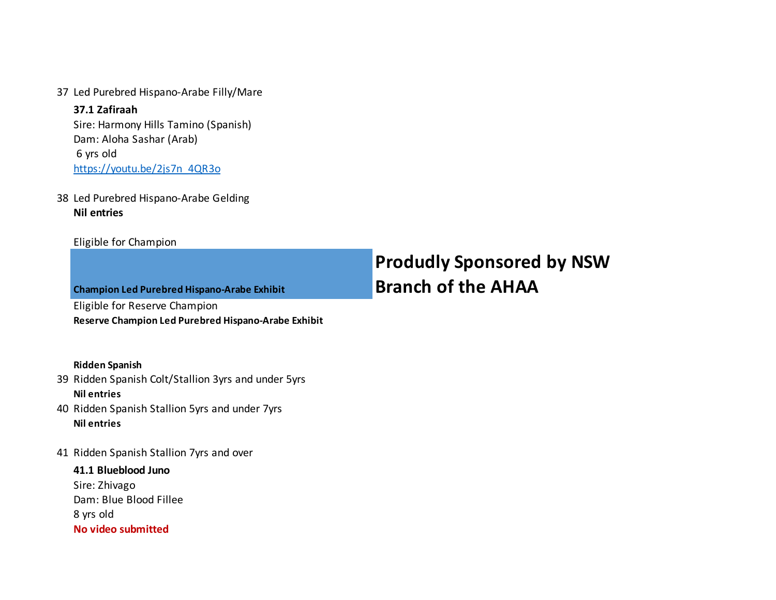37 Led Purebred Hispano-Arabe Filly/Mare

**37.1 Zafiraah** Sire: Harmony Hills Tamino (Spanish) Dam: Aloha Sashar (Arab) 6 yrs old https://youtu.be/2js7n\_4QR3o

38 Led Purebred Hispano-Arabe Gelding **Nil entries**

#### Eligible for Champion

| <b>Champion Led Purebred Hispano-Arabe Exhibit</b>  |  |  |
|-----------------------------------------------------|--|--|
| Eligible for Reserve Champion                       |  |  |
| Reserve Champion Led Purebred Hispano-Arabe Exhibit |  |  |

## **Produdly Sponsored by NSW Branch of the AHAA**

#### **Ridden Spanish**

- 39 Ridden Spanish Colt/Stallion 3yrs and under 5yrs **Nil entries**
- 40 Ridden Spanish Stallion 5yrs and under 7yrs **Nil entries**
- 41 Ridden Spanish Stallion 7yrs and over

**41.1 Blueblood Juno** Sire: Zhivago Dam: Blue Blood Fillee 8 yrs old **No video submitted**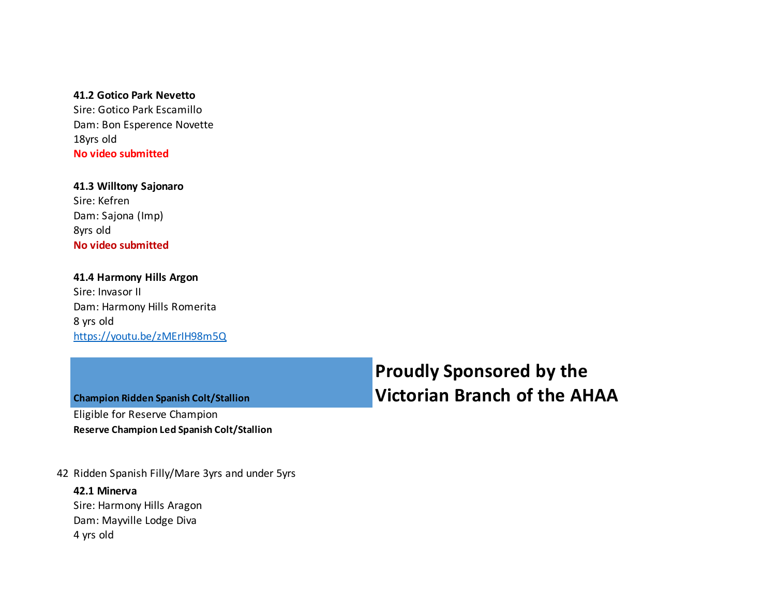#### **41.2 Gotico Park Nevetto**

Sire: Gotico Park Escamillo Dam: Bon Esperence Novette 18yrs old **No video submitted**

**41.3 Willtony Sajonaro** Sire: Kefren Dam: Sajona (Imp) 8yrs old **No video submitted**

#### **41.4 Harmony Hills Argon** Sire: Invasor II Dam: Harmony Hills Romerita 8 yrs old https://youtu.be/zMErIH98m5Q

**Champion Ridden Spanish Colt/Stallion** Eligible for Reserve Champion **Reserve Champion Led Spanish Colt/Stallion**

42 Ridden Spanish Filly/Mare 3yrs and under 5yrs

#### **42.1 Minerva**

Sire: Harmony Hills Aragon Dam: Mayville Lodge Diva 4 yrs old

## **Proudly Sponsored by the Victorian Branch of the AHAA**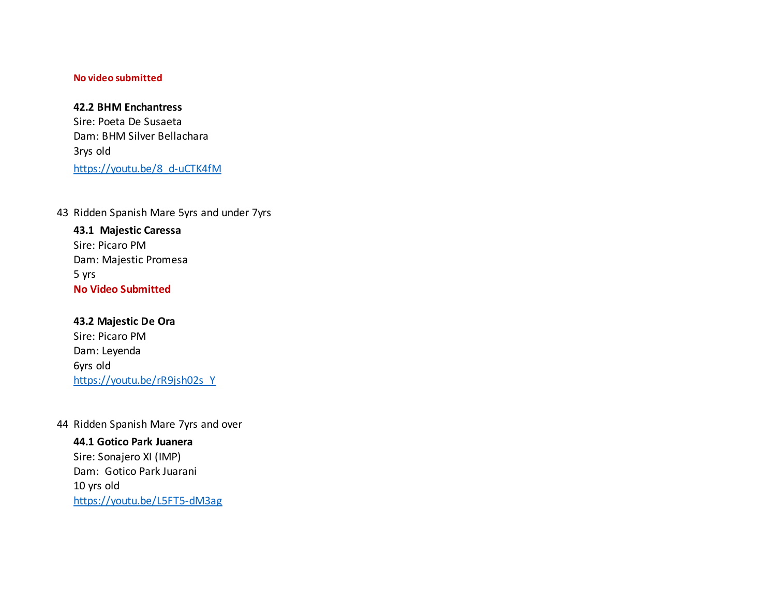#### **No video submitted**

#### **42.2 BHM Enchantress**

Sire: Poeta De Susaeta Dam: BHM Silver Bellachara 3rys old https://youtu.be/8\_d-uCTK4fM

43 Ridden Spanish Mare 5yrs and under 7yrs

**43.1 Majestic Caressa** Sire: Picaro PM Dam: Majestic Promesa 5 yrs **No Video Submitted**

**43.2 Majestic De Ora** Sire: Picaro PM Dam: Leyenda 6yrs old https://youtu.be/rR9jsh02s\_Y

44 Ridden Spanish Mare 7yrs and over

**44.1 Gotico Park Juanera** Sire: Sonajero XI (IMP) Dam: Gotico Park Juarani 10 yrs old https://youtu.be/L5FT5-dM3ag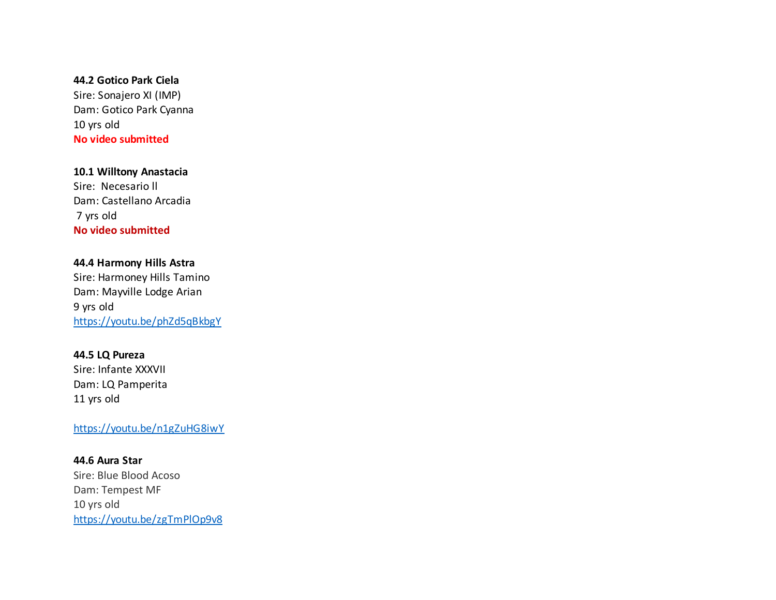#### **44.2 Gotico Park Ciela**

Sire: Sonajero XI (IMP) Dam: Gotico Park Cyanna 10 yrs old **No video submitted**

#### **10.1 Willtony Anastacia**

Sire: Necesario ll Dam: Castellano Arcadia 7 yrs old **No video submitted**

#### **44.4 Harmony Hills Astra**

Sire: Harmoney Hills Tamino Dam: Mayville Lodge Arian 9 yrs old https://youtu.be/phZd5qBkbgY

#### **44.5 LQ Pureza**

Sire: Infante XXXVII Dam: LQ Pamperita 11 yrs old

#### https://youtu.be/n1gZuHG8iwY

**44.6 Aura Star** Sire: Blue Blood Acoso Dam: Tempest MF 10 yrs old https://youtu.be/zgTmPlOp9v8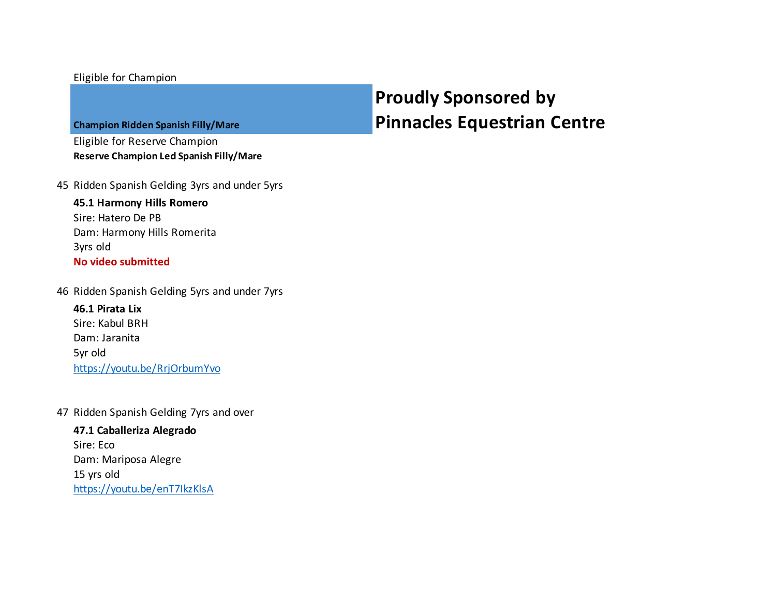#### Eligible for Champion

#### **Champion Ridden Spanish Filly/Mare**

Eligible for Reserve Champion **Reserve Champion Led Spanish Filly/Mare**

45 Ridden Spanish Gelding 3yrs and under 5yrs

#### **45.1 Harmony Hills Romero** Sire: Hatero De PB

Dam: Harmony Hills Romerita 3yrs old **No video submitted**

46 Ridden Spanish Gelding 5yrs and under 7yrs

**46.1 Pirata Lix** Sire: Kabul BRH Dam: Jaranita 5yr old https://youtu.be/RrjOrbumYvo

47 Ridden Spanish Gelding 7yrs and over

#### **47.1 Caballeriza Alegrado** Sire: Eco Dam: Mariposa Alegre 15 yrs old https://youtu.be/enT7IkzKlsA

## **Proudly Sponsored by Pinnacles Equestrian Centre**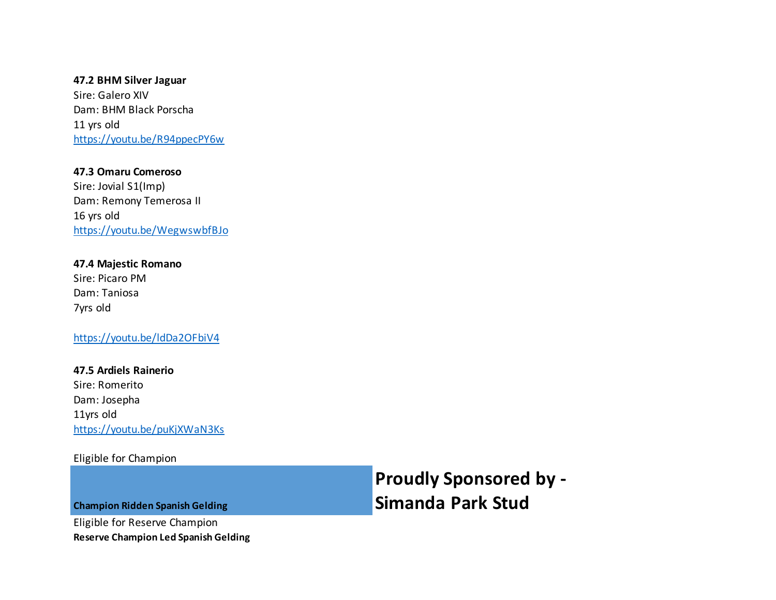**47.2 BHM Silver Jaguar** Sire: Galero XIV Dam: BHM Black Porscha 11 yrs old https://youtu.be/R94ppecPY6w

**47.3 Omaru Comeroso** Sire: Jovial S1(Imp) Dam: Remony Temerosa II 16 yrs old https://youtu.be/WegwswbfBJo

**47.4 Majestic Romano** Sire: Picaro PM Dam: Taniosa 7yrs old

https://youtu.be/ldDa2OFbiV4

**47.5 Ardiels Rainerio** Sire: Romerito Dam: Josepha 11yrs old https://youtu.be/puKjXWaN3Ks

Eligible for Champion

**Proudly Sponsored by - Simanda Park Stud**

**Champion Ridden Spanish Gelding**

Eligible for Reserve Champion **Reserve Champion Led Spanish Gelding**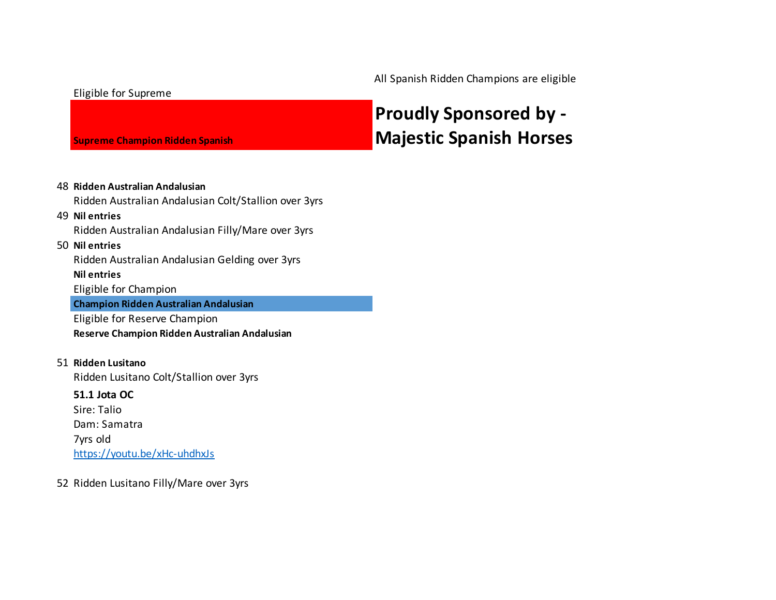All Spanish Ridden Champions are eligible

#### Eligible for Supreme

**Supreme Champion Ridden Spanish** 

## **Proudly Sponsored by - Majestic Spanish Horses**

#### 48 **Ridden Australian Andalusian**

Ridden Australian Andalusian Colt/Stallion over 3yrs

#### 49 **Nil entries**

Ridden Australian Andalusian Filly/Mare over 3yrs

#### 50 **Nil entries**

Ridden Australian Andalusian Gelding over 3yrs

#### **Nil entries**

Eligible for Champion

#### **Champion Ridden Australian Andalusian**

Eligible for Reserve Champion **Reserve Champion Ridden Australian Andalusian**

#### 51 **Ridden Lusitano**

Ridden Lusitano Colt/Stallion over 3yrs

#### **51.1 Jota OC**

Sire: Talio Dam: Samatra 7yrs old https://youtu.be/xHc-uhdhxJs

#### 52 Ridden Lusitano Filly/Mare over 3yrs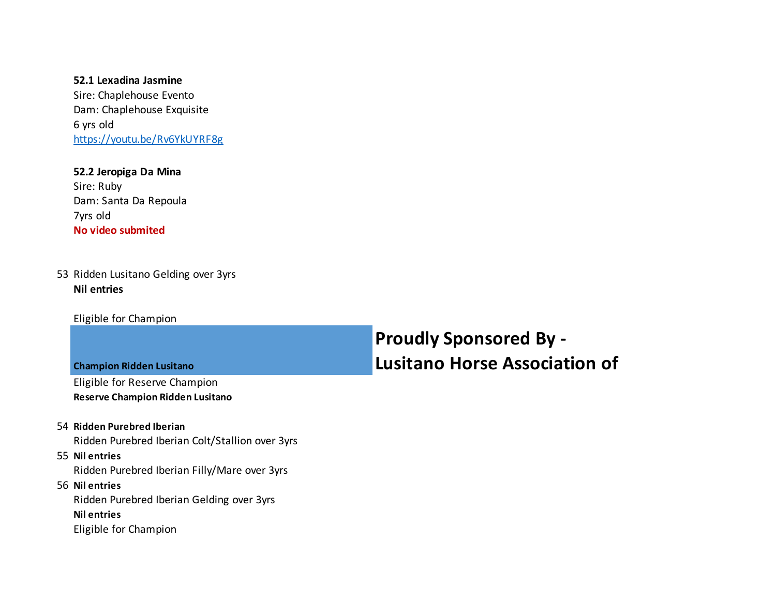#### **52.1 Lexadina Jasmine**

Sire: Chaplehouse Evento Dam: Chaplehouse Exquisite 6 yrs old https://youtu.be/Rv6YkUYRF8g

#### **52.2 Jeropiga Da Mina** Sire: Ruby

Dam: Santa Da Repoula 7yrs old **No video submited**

#### 53 Ridden Lusitano Gelding over 3yrs **Nil entries**

Eligible for Champion

| <b>Proudly Sponsored By -</b>        |  |  |  |  |
|--------------------------------------|--|--|--|--|
| <b>Lusitano Horse Association of</b> |  |  |  |  |

**Champion Ridden Lusitano**

Eligible for Reserve Champion

#### **Reserve Champion Ridden Lusitano**

#### 54 **Ridden Purebred Iberian**

Ridden Purebred Iberian Colt/Stallion over 3yrs

#### 55 **Nil entries**

Ridden Purebred Iberian Filly/Mare over 3yrs

#### 56 **Nil entries**

Ridden Purebred Iberian Gelding over 3yrs **Nil entries**

Eligible for Champion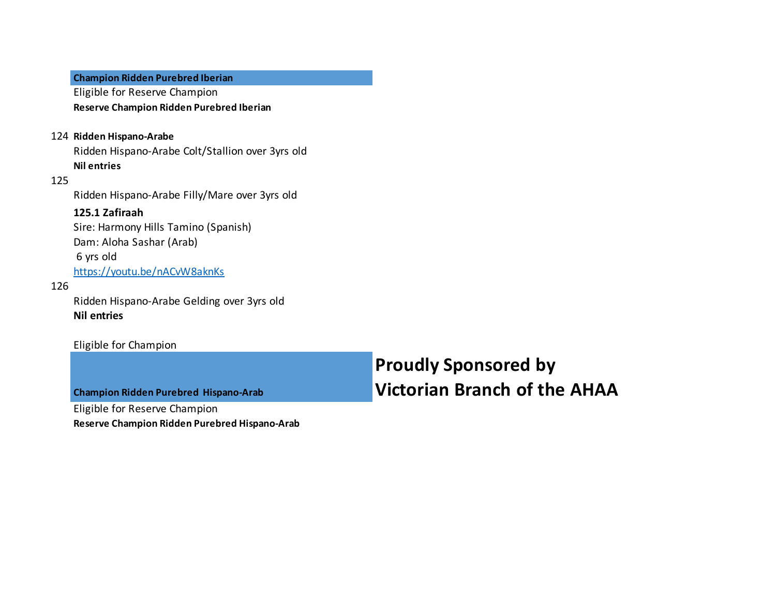#### **Champion Ridden Purebred Iberian**

Eligible for Reserve Champion **Reserve Champion Ridden Purebred Iberian**

#### 124 **Ridden Hispano-Arabe**

Ridden Hispano-Arabe Colt/Stallion over 3yrs old **Nil entries**

#### 125

Ridden Hispano-Arabe Filly/Mare over 3yrs old

#### **125.1 Zafiraah**

Sire: Harmony Hills Tamino (Spanish) Dam: Aloha Sashar (Arab) 6 yrs old https://youtu.be/nACvW8aknKs

#### 126

Ridden Hispano-Arabe Gelding over 3yrs old **Nil entries**

#### Eligible for Champion

**Champion Ridden Purebred Hispano-Arab**

Eligible for Reserve Champion

**Reserve Champion Ridden Purebred Hispano-Arab**

**Proudly Sponsored by Victorian Branch of the AHAA**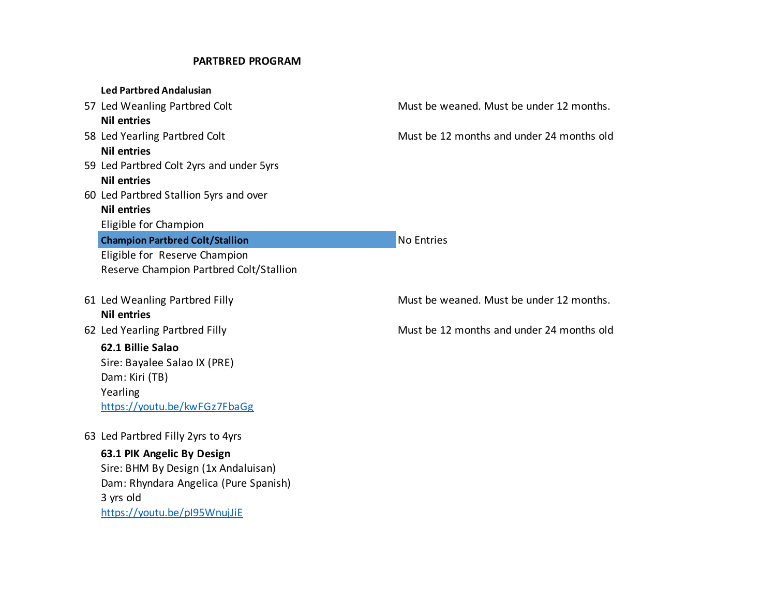#### **PARTBRED PROGRAM**

| <b>Led Partbred Andalusian</b>           |                                           |
|------------------------------------------|-------------------------------------------|
| 57 Led Weanling Partbred Colt            | Must be weaned. Must be under 12 months.  |
| <b>Nil entries</b>                       |                                           |
| 58 Led Yearling Partbred Colt            | Must be 12 months and under 24 months old |
| <b>Nil entries</b>                       |                                           |
| 59 Led Partbred Colt 2yrs and under 5yrs |                                           |
| <b>Nil entries</b>                       |                                           |
| 60 Led Partbred Stallion 5yrs and over   |                                           |
| <b>Nil entries</b>                       |                                           |
| Eligible for Champion                    |                                           |
| <b>Champion Partbred Colt/Stallion</b>   | <b>No Entries</b>                         |
| Eligible for Reserve Champion            |                                           |
| Reserve Champion Partbred Colt/Stallion  |                                           |
|                                          |                                           |
| 61 Led Weanling Partbred Filly           | Must be weaned. Must be under 12 months.  |
| <b>Nil entries</b>                       |                                           |
| 62 Led Yearling Partbred Filly           | Must be 12 months and under 24 months old |
| 62.1 Billie Salao                        |                                           |
| Sire: Bayalee Salao IX (PRE)             |                                           |
| Dam: Kiri (TB)                           |                                           |
| Yearling                                 |                                           |
| https://youtu.be/kwFGz7FbaGg             |                                           |
|                                          |                                           |
| 63 Led Partbred Filly 2yrs to 4yrs       |                                           |
| 63.1 PIK Angelic By Design               |                                           |
| Sire: BHM By Design (1x Andaluisan)      |                                           |
| Dam: Rhyndara Angelica (Pure Spanish)    |                                           |
| 3 yrs old                                |                                           |
| https://youtu.be/pl95WnujJiE             |                                           |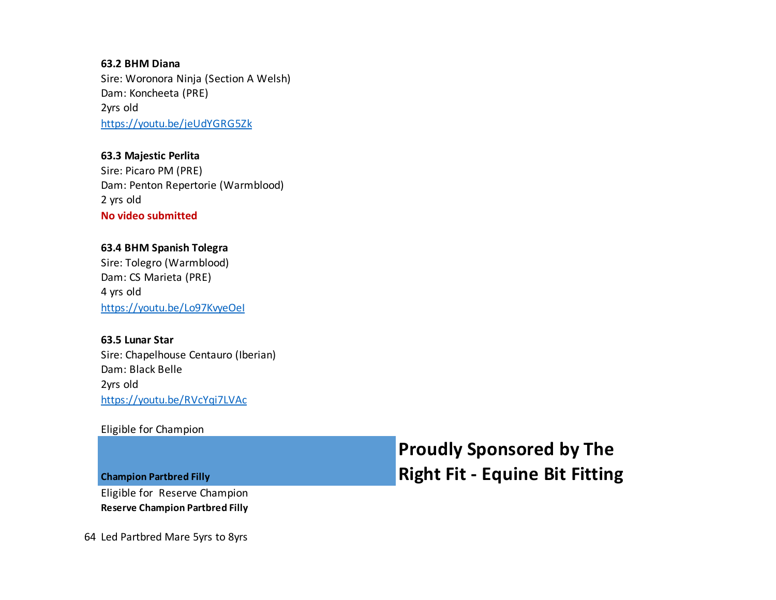**63.2 BHM Diana** Sire: Woronora Ninja (Section A Welsh) Dam: Koncheeta (PRE) 2yrs old https://youtu.be/jeUdYGRG5Zk

**63.3 Majestic Perlita** Sire: Picaro PM (PRE) Dam: Penton Repertorie (Warmblood) 2 yrs old **No video submitted**

**63.4 BHM Spanish Tolegra** Sire: Tolegro (Warmblood) Dam: CS Marieta (PRE) 4 yrs old https://youtu.be/Lo97KvyeOeI

**63.5 Lunar Star** Sire: Chapelhouse Centauro (Iberian) Dam: Black Belle 2yrs old https://youtu.be/RVcYqi7LVAc

Eligible for Champion

**Champion Partbred Filly**

Eligible for Reserve Champion **Reserve Champion Partbred Filly** **Proudly Sponsored by The Right Fit - Equine Bit Fitting**

64 Led Partbred Mare 5yrs to 8yrs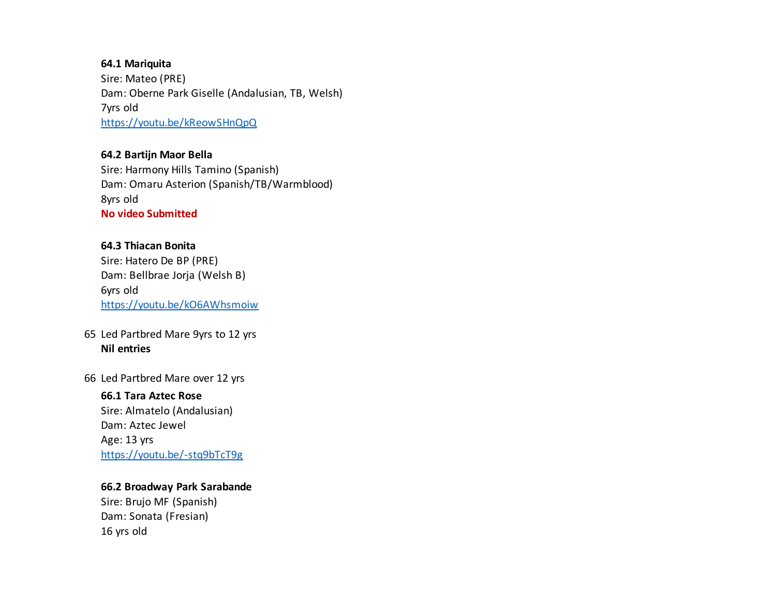#### **64.1 Mariquita**

Sire: Mateo (PRE) Dam: Oberne Park Giselle (Andalusian, TB, Welsh) 7yrs old https://youtu.be/kReowSHnQpQ

#### **64.2 Bartijn Maor Bella**

Sire: Harmony Hills Tamino (Spanish) Dam: Omaru Asterion (Spanish/TB/Warmblood) 8yrs old **No video Submitted**

#### **64.3 Thiacan Bonita**

Sire: Hatero De BP (PRE) Dam: Bellbrae Jorja (Welsh B) 6yrs old https://youtu.be/kO6AWhsmoiw

#### 65 Led Partbred Mare 9yrs to 12 yrs **Nil entries**

66 Led Partbred Mare over 12 yrs

#### **66.1 Tara Aztec Rose**

Sire: Almatelo (Andalusian) Dam: Aztec Jewel Age: 13 yrs https://youtu.be/-stq9bTcT9g

#### **66.2 Broadway Park Sarabande**

Sire: Brujo MF (Spanish) Dam: Sonata (Fresian) 16 yrs old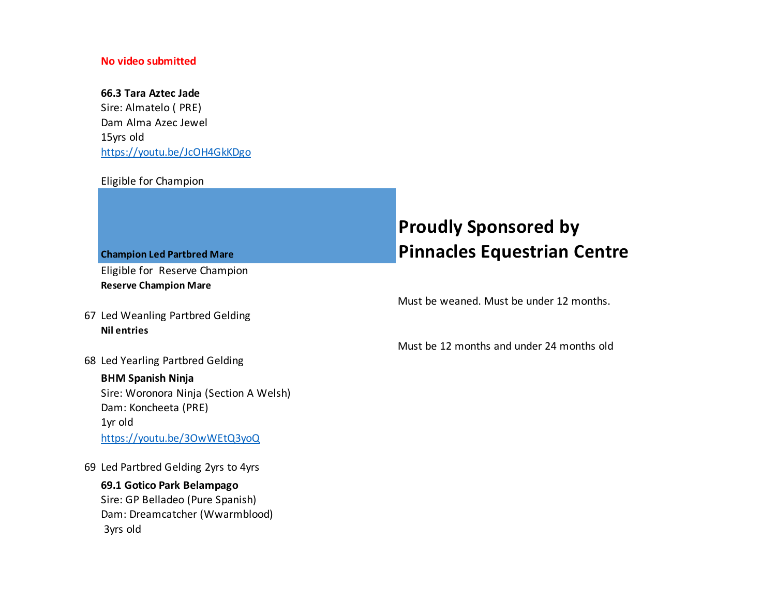#### **No video submitted**

#### **66.3 Tara Aztec Jade**

Sire: Almatelo ( PRE) Dam Alma Azec Jewel 15yrs old https://youtu.be/JcOH4GkKDgo

#### Eligible for Champion

**Champion Led Partbred Mare** Eligible for Reserve Champion

**Reserve Champion Mare**

- 67 Led Weanling Partbred Gelding **Nil entries**
- 68 Led Yearling Partbred Gelding

#### **BHM Spanish Ninja**

Sire: Woronora Ninja (Section A Welsh) Dam: Koncheeta (PRE) 1yr old https://youtu.be/3OwWEtQ3yoQ

69 Led Partbred Gelding 2yrs to 4yrs

#### **69.1 Gotico Park Belampago** Sire: GP Belladeo (Pure Spanish) Dam: Dreamcatcher (Wwarmblood) 3yrs old

## **Proudly Sponsored by Pinnacles Equestrian Centre**

Must be weaned. Must be under 12 months.

Must be 12 months and under 24 months old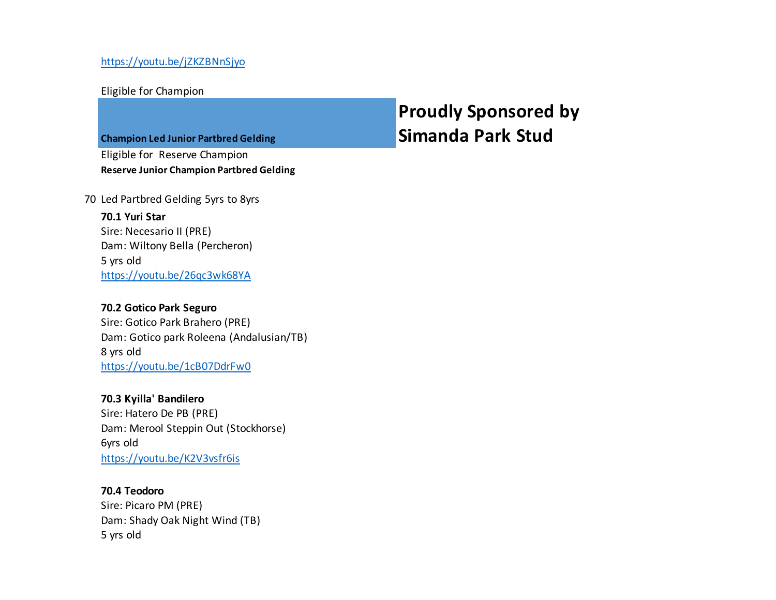Eligible for Champion

**Champion Led Junior Partbred Gelding**

Eligible for Reserve Champion **Reserve Junior Champion Partbred Gelding** **Proudly Sponsored by Simanda Park Stud**

70 Led Partbred Gelding 5yrs to 8yrs

**70.1 Yuri Star** Sire: Necesario II (PRE) Dam: Wiltony Bella (Percheron) 5 yrs old https://youtu.be/26qc3wk68YA

#### **70.2 Gotico Park Seguro**

Sire: Gotico Park Brahero (PRE) Dam: Gotico park Roleena (Andalusian/TB) 8 yrs old https://youtu.be/1cB07DdrFw0

#### **70.3 Kyilla' Bandilero**

Sire: Hatero De PB (PRE) Dam: Merool Steppin Out (Stockhorse) 6yrs old https://youtu.be/K2V3vsfr6is

#### **70.4 Teodoro**

Sire: Picaro PM (PRE) Dam: Shady Oak Night Wind (TB) 5 yrs old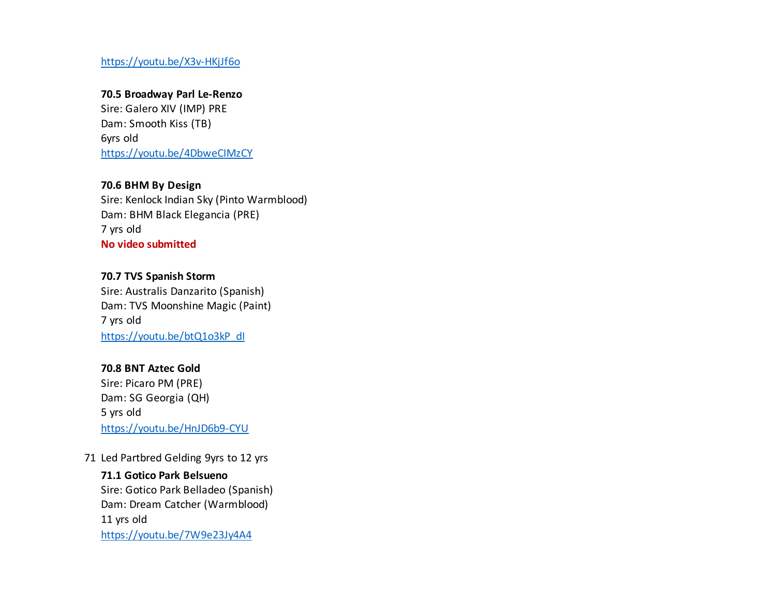https://youtu.be/X3v-HKjJf6o

#### **70.5 Broadway Parl Le-Renzo**

Sire: Galero XIV (IMP) PRE Dam: Smooth Kiss (TB) 6yrs old https://youtu.be/4DbweCIMzCY

#### **70.6 BHM By Design**

Sire: Kenlock Indian Sky (Pinto Warmblood) Dam: BHM Black Elegancia (PRE) 7 yrs old **No video submitted**

#### **70.7 TVS Spanish Storm**

Sire: Australis Danzarito (Spanish) Dam: TVS Moonshine Magic (Paint) 7 yrs old https://youtu.be/btQ1o3kP\_dl

#### **70.8 BNT Aztec Gold**

Sire: Picaro PM (PRE) Dam: SG Georgia (QH) 5 yrs old https://youtu.be/HnJD6b9-CYU

71 Led Partbred Gelding 9yrs to 12 yrs

#### **71.1 Gotico Park Belsueno**

Sire: Gotico Park Belladeo (Spanish) Dam: Dream Catcher (Warmblood) 11 yrs old https://youtu.be/7W9e23Jy4A4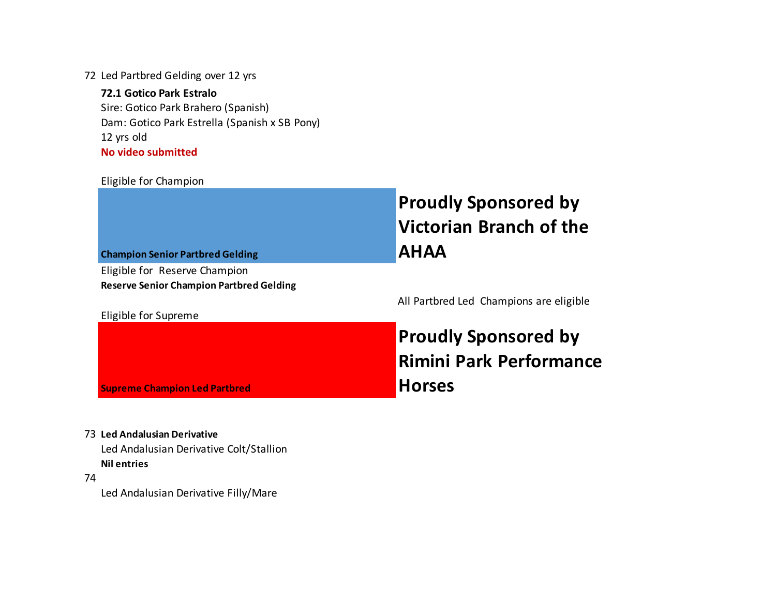72 Led Partbred Gelding over 12 yrs

**72.1 Gotico Park Estralo** Sire: Gotico Park Brahero (Spanish) Dam: Gotico Park Estrella (Spanish x SB Pony) 12 yrs old **No video submitted**

#### Eligible for Champion

| <b>Champion Senior Partbred Gelding</b>         | <b>Proudly Sponsored by</b><br><b>Victorian Branch of the</b><br><b>AHAA</b> |
|-------------------------------------------------|------------------------------------------------------------------------------|
| Eligible for Reserve Champion                   |                                                                              |
| <b>Reserve Senior Champion Partbred Gelding</b> |                                                                              |
|                                                 | All Partbred Led Champions are eligible                                      |
| Eligible for Supreme                            |                                                                              |
|                                                 | <b>Proudly Sponsored by</b>                                                  |
|                                                 | <b>Rimini Park Performance</b>                                               |
|                                                 |                                                                              |
| <b>Supreme Champion Led Partbred</b>            | <b>Horses</b>                                                                |

73 **Led Andalusian Derivative**

Led Andalusian Derivative Colt/Stallion **Nil entries**

74

Led Andalusian Derivative Filly/Mare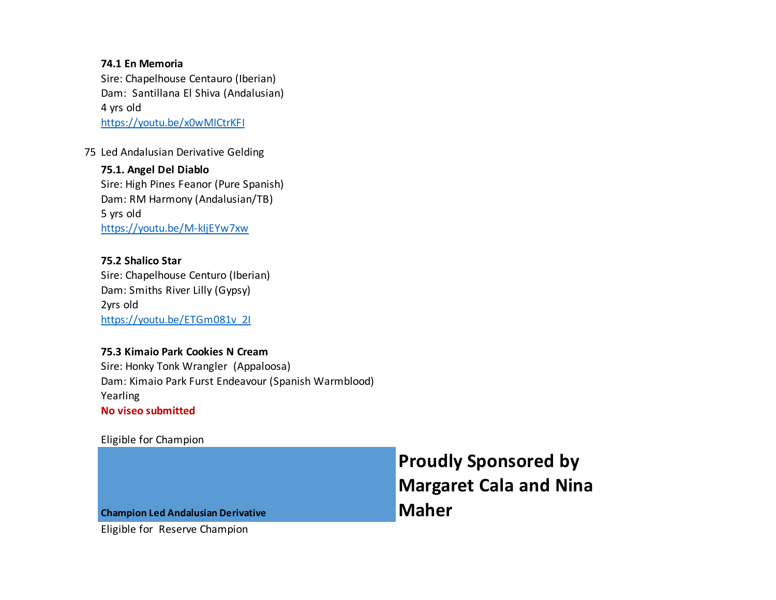#### **74.1 En Memoria**

Sire: Chapelhouse Centauro (Iberian) Dam: Santillana El Shiva (Andalusian) 4 yrs old https://youtu.be/x0wMICtrKFI

75 Led Andalusian Derivative Gelding

#### **75.1. Angel Del Diablo** Sire: High Pines Feanor (Pure Spanish) Dam: RM Harmony (Andalusian/TB) 5 yrs old

https://youtu.be/M-kIjEYw7xw

#### **75.2 Shalico Star**

Sire: Chapelhouse Centuro (Iberian) Dam: Smiths River Lilly (Gypsy) 2yrs old https://youtu.be/ETGm081v\_2I

#### **75.3 Kimaio Park Cookies N Cream**

Sire: Honky Tonk Wrangler (Appaloosa) Dam: Kimaio Park Furst Endeavour (Spanish Warmblood) Yearling **No viseo submitted**

#### Eligible for Champion

|                                           | <b>Proudly Sponsored by</b>   |
|-------------------------------------------|-------------------------------|
|                                           | <b>Margaret Cala and Nina</b> |
| <b>Champion Led Andalusian Derivative</b> | <b>Maher</b>                  |
| Eligible for Reserve Champion             |                               |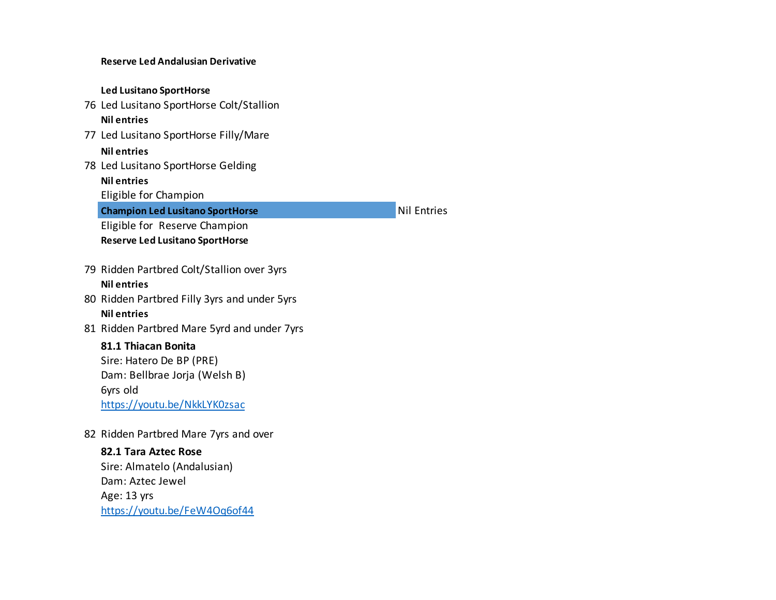#### **Reserve Led Andalusian Derivative Led Lusitano SportHorse** 76 Led Lusitano SportHorse Colt/Stallion **Nil entries** 77 Led Lusitano SportHorse Filly/Mare **Nil entries** 78 Led Lusitano SportHorse Gelding **Nil entries** Eligible for Champion **Champion Led Lusitano SportHorse Nil Entries Nil Entries** Eligible for Reserve Champion **Reserve Led Lusitano SportHorse**  79 Ridden Partbred Colt/Stallion over 3yrs **Nil entries** 80 Ridden Partbred Filly 3yrs and under 5yrs **Nil entries** 81 Ridden Partbred Mare 5yrd and under 7yrs **81.1 Thiacan Bonita** Sire: Hatero De BP (PRE) Dam: Bellbrae Jorja (Welsh B) 6yrs old https://youtu.be/NkkLYK0zsac 82 Ridden Partbred Mare 7yrs and over **82.1 Tara Aztec Rose** Sire: Almatelo (Andalusian) Dam: Aztec Jewel Age: 13 yrs

https://youtu.be/FeW4Oq6of44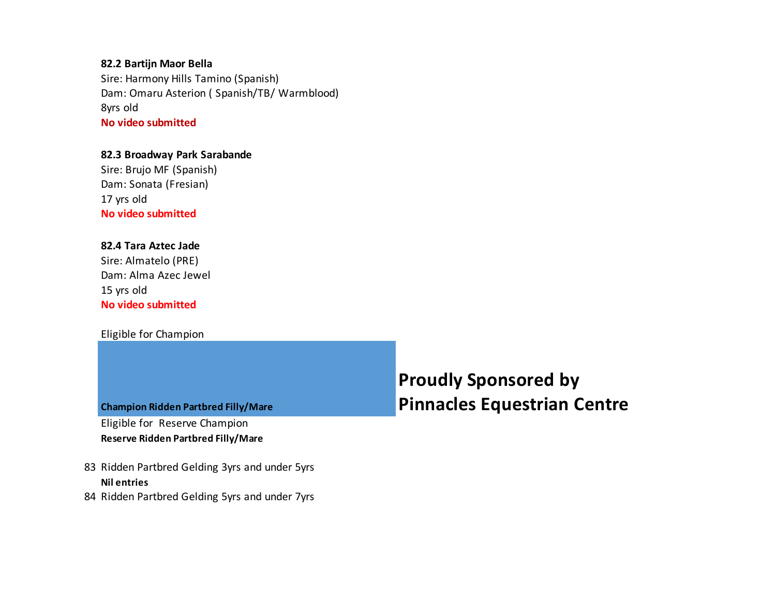#### **82.2 Bartijn Maor Bella**

Sire: Harmony Hills Tamino (Spanish) Dam: Omaru Asterion ( Spanish/TB/ Warmblood) 8yrs old **No video submitted**

#### **82.3 Broadway Park Sarabande**

Sire: Brujo MF (Spanish) Dam: Sonata (Fresian) 17 yrs old **No video submitted**

#### **82.4 Tara Aztec Jade**

Sire: Almatelo (PRE) Dam: Alma Azec Jewel 15 yrs old **No video submitted**

#### Eligible for Champion

#### **Champion Ridden Partbred Filly/Mare**

Eligible for Reserve Champion **Reserve Ridden Partbred Filly/Mare**

- 83 Ridden Partbred Gelding 3yrs and under 5yrs **Nil entries**
- 84 Ridden Partbred Gelding 5yrs and under 7yrs

## **Proudly Sponsored by Pinnacles Equestrian Centre**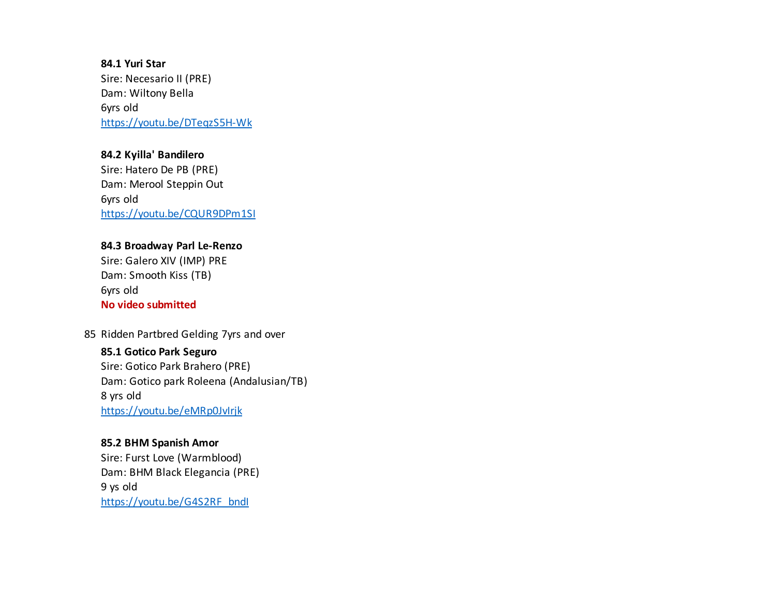**84.1 Yuri Star** Sire: Necesario II (PRE) Dam: Wiltony Bella 6yrs old https://youtu.be/DTeqzS5H-Wk

#### **84.2 Kyilla' Bandilero** Sire: Hatero De PB (PRE) Dam: Merool Steppin Out 6yrs old https://youtu.be/CQUR9DPm1SI

#### **84.3 Broadway Parl Le-Renzo**

Sire: Galero XIV (IMP) PRE Dam: Smooth Kiss (TB) 6yrs old **No video submitted**

#### 85 Ridden Partbred Gelding 7yrs and over

**85.1 Gotico Park Seguro** Sire: Gotico Park Brahero (PRE) Dam: Gotico park Roleena (Andalusian/TB) 8 yrs old https://youtu.be/eMRp0JvIrjk

#### **85.2 BHM Spanish Amor**

Sire: Furst Love (Warmblood) Dam: BHM Black Elegancia (PRE) 9 ys old https://youtu.be/G4S2RF\_bndl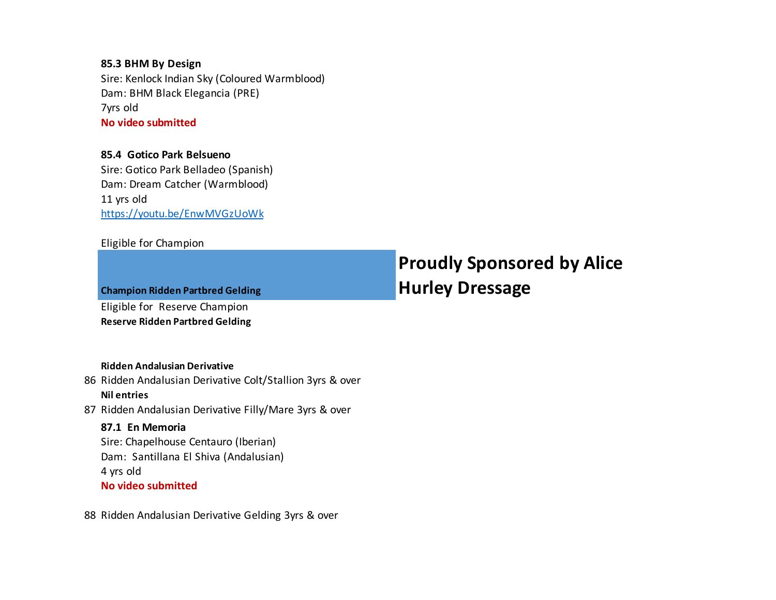#### **85.3 BHM By Design** Sire: Kenlock Indian Sky (Coloured Warmblood) Dam: BHM Black Elegancia (PRE) 7yrs old **No video submitted**

#### **85.4 Gotico Park Belsueno**

Sire: Gotico Park Belladeo (Spanish) Dam: Dream Catcher (Warmblood) 11 yrs old https://youtu.be/EnwMVGzUoWk

#### Eligible for Champion

**Champion Ridden Partbred Gelding** Eligible for Reserve Champion **Reserve Ridden Partbred Gelding**

## **Proudly Sponsored by Alice Hurley Dressage**

#### **Ridden Andalusian Derivative**

- 86 Ridden Andalusian Derivative Colt/Stallion 3yrs & over **Nil entries**
- 87 Ridden Andalusian Derivative Filly/Mare 3yrs & over

#### **87.1 En Memoria**

Sire: Chapelhouse Centauro (Iberian) Dam: Santillana El Shiva (Andalusian) 4 yrs old **No video submitted**

88 Ridden Andalusian Derivative Gelding 3yrs & over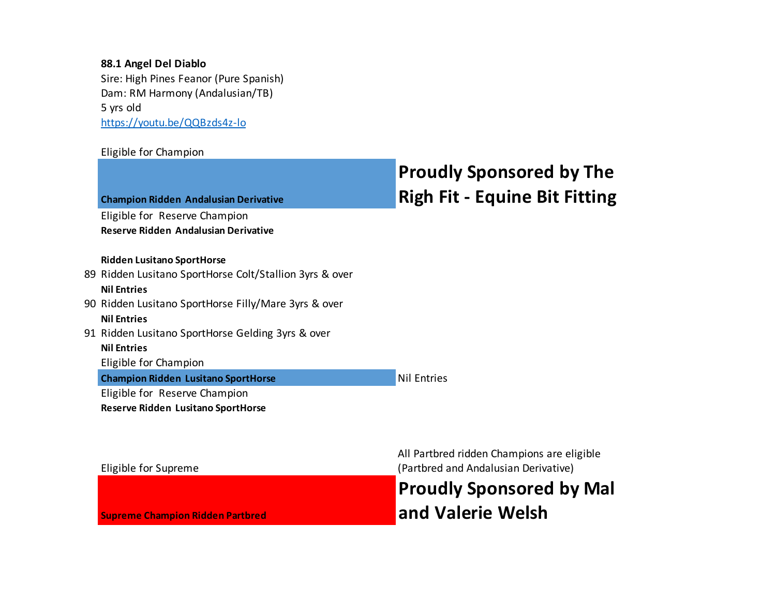#### **88.1 Angel Del Diablo**

Sire: High Pines Feanor (Pure Spanish) Dam: RM Harmony (Andalusian/TB) 5 yrs old https://youtu.be/QQBzds4z-lo

#### Eligible for Champion

| <b>Champion Ridden Andalusian Derivative</b>                                                                       | <b>Proudly Sponsored by The</b><br><b>Righ Fit - Equine Bit Fitting</b> |
|--------------------------------------------------------------------------------------------------------------------|-------------------------------------------------------------------------|
| Eligible for Reserve Champion<br>Reserve Ridden Andalusian Derivative                                              |                                                                         |
| <b>Ridden Lusitano SportHorse</b><br>89 Ridden Lusitano SportHorse Colt/Stallion 3yrs & over<br><b>Nil Entries</b> |                                                                         |
| 90 Ridden Lusitano SportHorse Filly/Mare 3yrs & over<br><b>Nil Entries</b>                                         |                                                                         |
| 91 Ridden Lusitano SportHorse Gelding 3yrs & over<br><b>Nil Entries</b><br>Eligible for Champion                   |                                                                         |
| <b>Champion Ridden Lusitano SportHorse</b><br>Eligible for Reserve Champion<br>Reserve Ridden Lusitano SportHorse  | <b>Nil Entries</b>                                                      |
|                                                                                                                    | All Parthred ridden Chamnions are eligible                              |

Eligible for Supreme

**Supreme Champion Ridden Partbred**

All Partbred ridden Champions are eligible (Partbred and Andalusian Derivative)

**Proudly Sponsored by Mal and Valerie Welsh**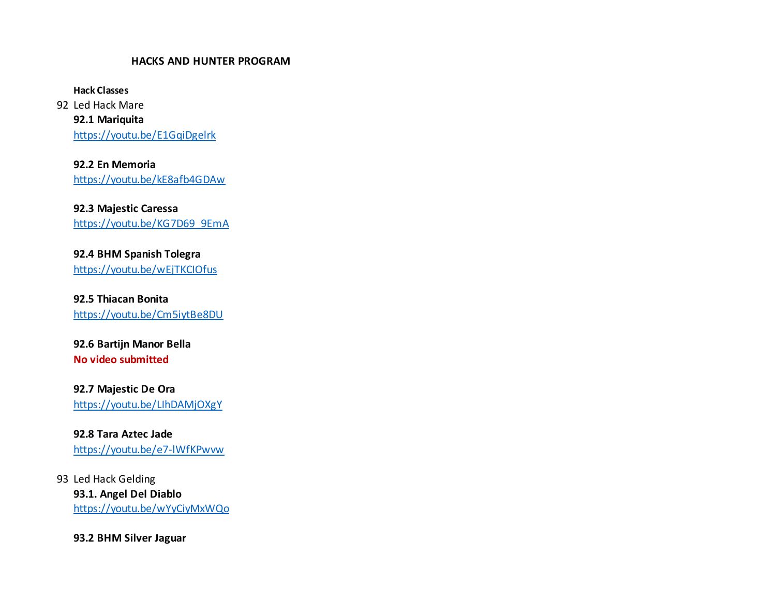#### **HACKS AND HUNTER PROGRAM**

**Hack Classes**

92 Led Hack Mare **92.1 Mariquita** https://youtu.be/E1GqiDgelrk

**92.2 En Memoria** https://youtu.be/kE8afb4GDAw

**92.3 Majestic Caressa** https://youtu.be/KG7D69\_9EmA

**92.4 BHM Spanish Tolegra** https://youtu.be/wEjTKCIOfus

**92.5 Thiacan Bonita** https://youtu.be/Cm5iytBe8DU

**92.6 Bartijn Manor Bella No video submitted**

**92.7 Majestic De Ora** https://youtu.be/LIhDAMjOXgY

**92.8 Tara Aztec Jade** https://youtu.be/e7-lWfKPwvw

93 Led Hack Gelding **93.1. Angel Del Diablo** https://youtu.be/wYyCiyMxWQo

**93.2 BHM Silver Jaguar**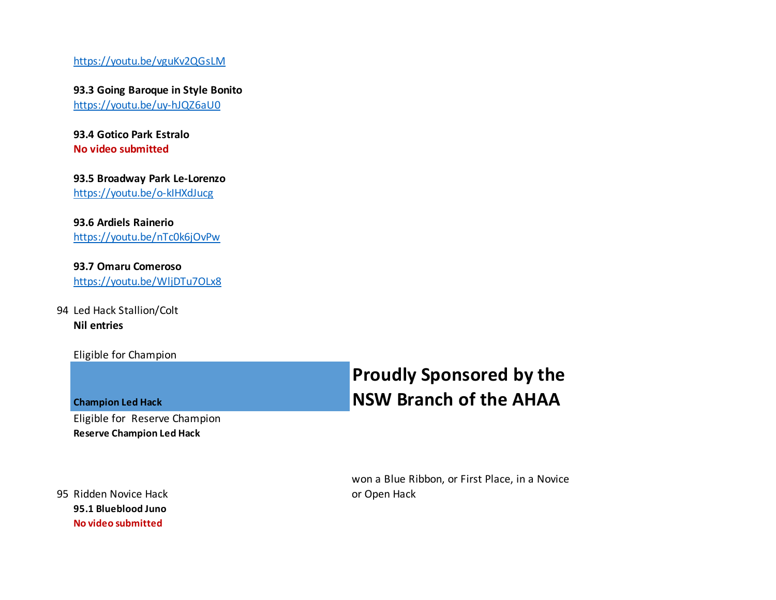https://youtu.be/vguKv2QGsLM

**93.3 Going Baroque in Style Bonito**  https://youtu.be/uy-hJQZ6aU0

**93.4 Gotico Park Estralo No video submitted**

**93.5 Broadway Park Le-Lorenzo** https://youtu.be/o-kIHXdJucg

**93.6 Ardiels Rainerio** https://youtu.be/nTc0k6jOvPw

**93.7 Omaru Comeroso** https://youtu.be/WljDTu7OLx8

94 Led Hack Stallion/Colt **Nil entries**

Eligible for Champion

**Champion Led Hack**

Eligible for Reserve Champion **Reserve Champion Led Hack**

95 Ridden Novice Hack **95.1 Blueblood Juno No video submitted**

## **Proudly Sponsored by the NSW Branch of the AHAA**

won a Blue Ribbon, or First Place, in a Novice or Open Hack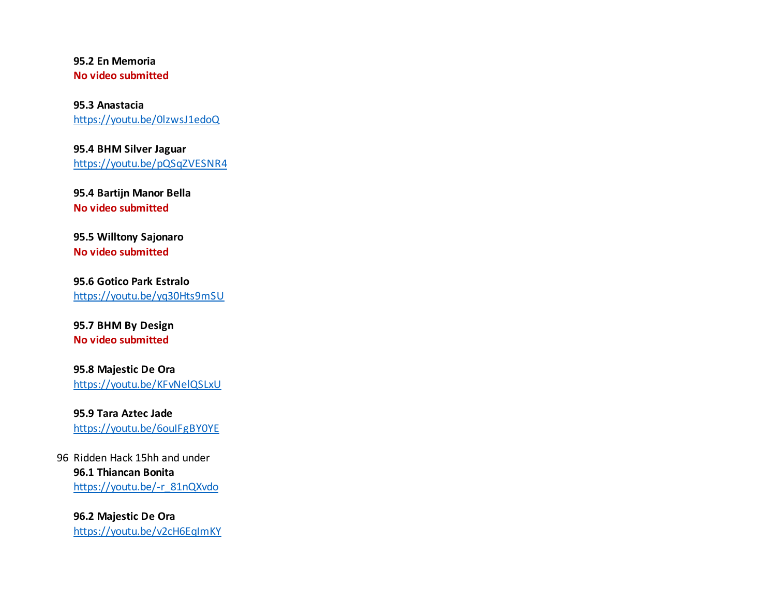**95.2 En Memoria No video submitted**

**95.3 Anastacia** https://youtu.be/0lzwsJ1edoQ

**95.4 BHM Silver Jaguar** https://youtu.be/pQSqZVESNR4

**95.4 Bartijn Manor Bella No video submitted**

**95.5 Willtony Sajonaro No video submitted**

**95.6 Gotico Park Estralo** https://youtu.be/yq30Hts9mSU

**95.7 BHM By Design No video submitted**

**95.8 Majestic De Ora** https://youtu.be/KFvNelQSLxU

**95.9 Tara Aztec Jade** https://youtu.be/6ouIFgBY0YE

96 Ridden Hack 15hh and under **96.1 Thiancan Bonita** https://youtu.be/-r\_81nQXvdo

**96.2 Majestic De Ora** https://youtu.be/v2cH6EqImKY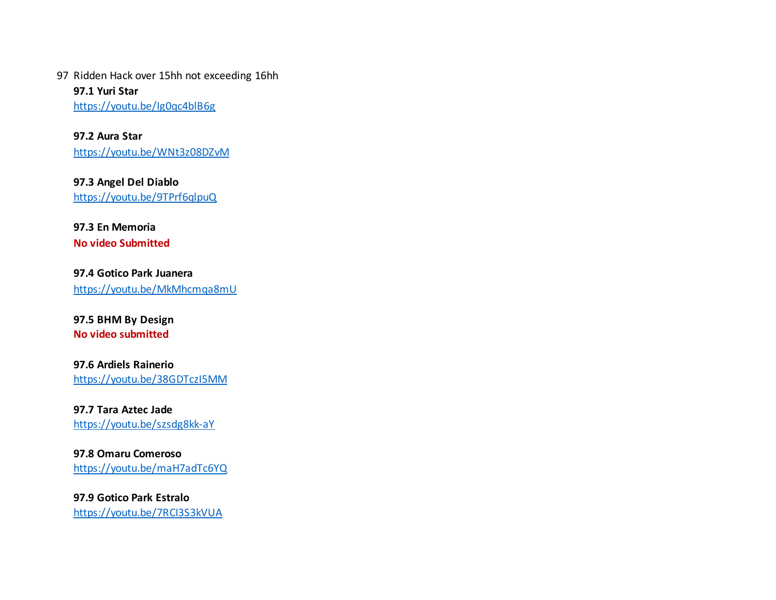97 Ridden Hack over 15hh not exceeding 16hh

**97.1 Yuri Star** https://youtu.be/Ig0qc4blB6g

**97.2 Aura Star** https://youtu.be/WNt3z08DZvM

**97.3 Angel Del Diablo** https://youtu.be/9TPrf6qlpuQ

**97.3 En Memoria**

**No video Submitted**

**97.4 Gotico Park Juanera** https://youtu.be/MkMhcmqa8mU

**97.5 BHM By Design No video submitted**

**97.6 Ardiels Rainerio** https://youtu.be/38GDTczI5MM

**97.7 Tara Aztec Jade** https://youtu.be/szsdg8kk-aY

**97.8 Omaru Comeroso** https://youtu.be/maH7adTc6YQ

**97.9 Gotico Park Estralo** https://youtu.be/7RCI3S3kVUA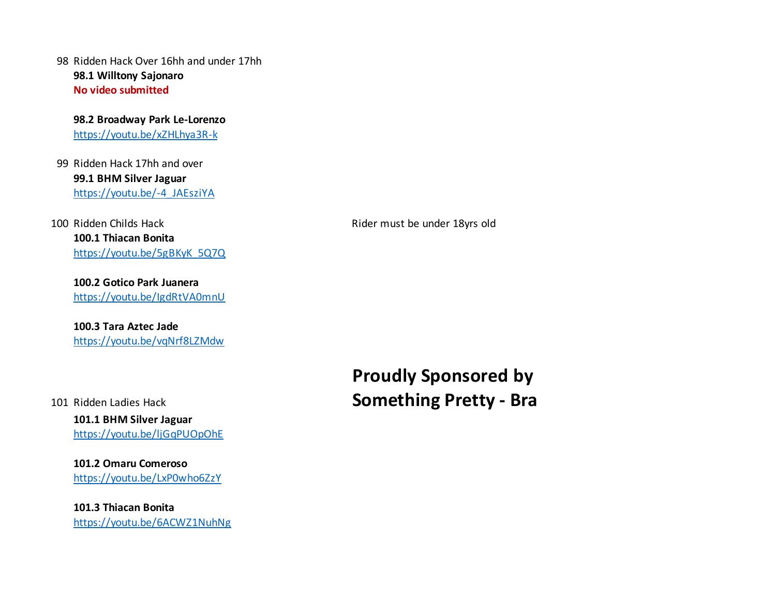98 Ridden Hack Over 16hh and under 17hh **98.1 Willtony Sajonaro No video submitted**

**98.2 Broadway Park Le-Lorenzo** https://youtu.be/xZHLhya3R-k

99 Ridden Hack 17hh and over **99.1 BHM Silver Jaguar** https://youtu.be/-4\_JAEsziYA

100 Ridden Childs Hack **Rider must be under 18yrs old 100.1 Thiacan Bonita** https://youtu.be/5gBKyK\_5Q7Q

**100.2 Gotico Park Juanera** https://youtu.be/IgdRtVA0mnU

**100.3 Tara Aztec Jade** https://youtu.be/vqNrf8LZMdw

101 Ridden Ladies Hack

**101.1 BHM Silver Jaguar** https://youtu.be/ljGqPUOpOhE

**101.2 Omaru Comeroso** https://youtu.be/LxP0who6ZzY

**101.3 Thiacan Bonita** https://youtu.be/6ACWZ1NuhNg

**Proudly Sponsored by Something Pretty - Bra**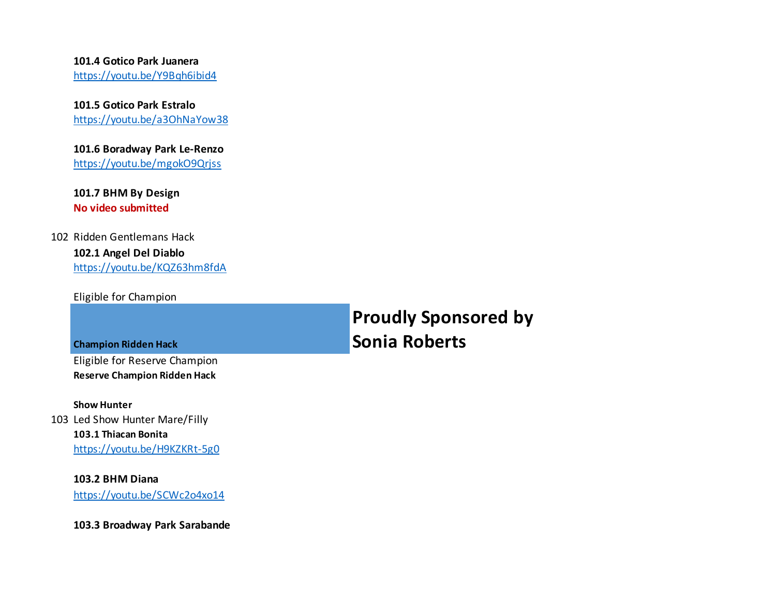#### **101.4 Gotico Park Juanera**

https://youtu.be/Y9Bqh6ibid4

#### **101.5 Gotico Park Estralo**

https://youtu.be/a3OhNaYow38

#### **101.6 Boradway Park Le-Renzo**

https://youtu.be/mgokO9Qrjss

**101.7 BHM By Design No video submitted**

#### 102 Ridden Gentlemans Hack **102.1 Angel Del Diablo** https://youtu.be/KQZ63hm8fdA

Eligible for Champion

**Champion Ridden Hack**

Eligible for Reserve Champion **Reserve Champion Ridden Hack**

#### **Show Hunter**

103 Led Show Hunter Mare/Filly **103.1 Thiacan Bonita** https://youtu.be/H9KZKRt-5g0

> **103.2 BHM Diana** https://youtu.be/SCWc2o4xo14

**103.3 Broadway Park Sarabande**

**Proudly Sponsored by Sonia Roberts**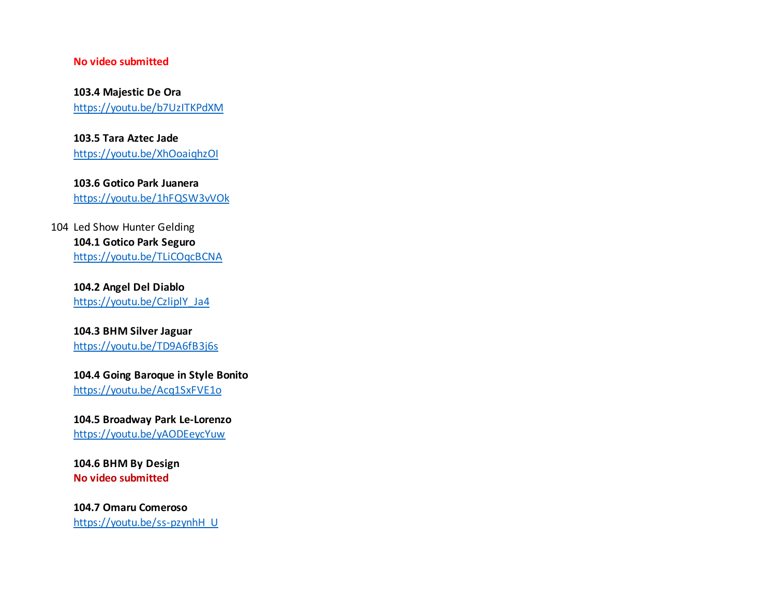#### **No video submitted**

**103.4 Majestic De Ora** https://youtu.be/b7UzITKPdXM

**103.5 Tara Aztec Jade** https://youtu.be/XhOoaiqhzOI

**103.6 Gotico Park Juanera** https://youtu.be/1hFQSW3vVOk

104 Led Show Hunter Gelding **104.1 Gotico Park Seguro** https://youtu.be/TLiCOqcBCNA

> **104.2 Angel Del Diablo** https://youtu.be/CzliplY\_Ja4

**104.3 BHM Silver Jaguar** https://youtu.be/TD9A6fB3j6s

**104.4 Going Baroque in Style Bonito**  https://youtu.be/Acq1SxFVE1o

**104.5 Broadway Park Le-Lorenzo** https://youtu.be/yAODEeycYuw

**104.6 BHM By Design No video submitted**

**104.7 Omaru Comeroso** https://youtu.be/ss-pzynhH\_U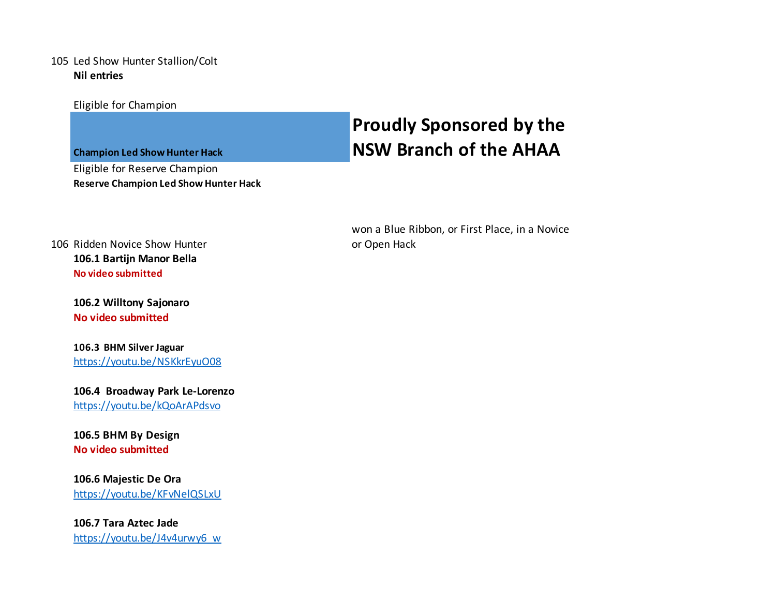#### 105 Led Show Hunter Stallion/Colt **Nil entries**

Eligible for Champion

**Champion Led Show Hunter Hack**

Eligible for Reserve Champion **Reserve Champion Led Show Hunter Hack**

## **Proudly Sponsored by the NSW Branch of the AHAA**

won a Blue Ribbon, or First Place, in a Novice or Open Hack

106 Ridden Novice Show Hunter **106.1 Bartijn Manor Bella No video submitted**

> **106.2 Willtony Sajonaro No video submitted**

**106.3 BHM Silver Jaguar** https://youtu.be/NSKkrEyuO08

**106.4 Broadway Park Le-Lorenzo** https://youtu.be/kQoArAPdsvo

**106.5 BHM By Design No video submitted**

**106.6 Majestic De Ora** https://youtu.be/KFvNelQSLxU

**106.7 Tara Aztec Jade** https://youtu.be/J4v4urwy6\_w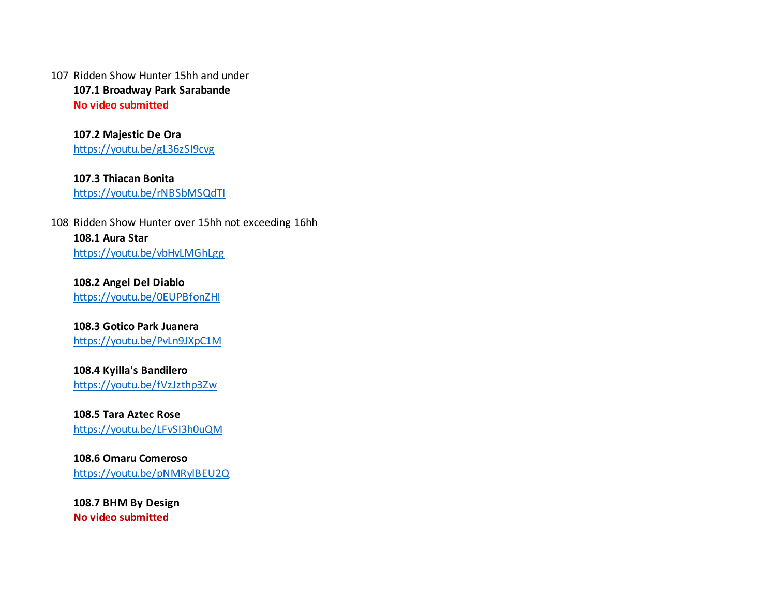107 Ridden Show Hunter 15hh and under **107.1 Broadway Park Sarabande No video submitted**

> **107.2 Majestic De Ora** https://youtu.be/gL36zSI9cvg

**107.3 Thiacan Bonita** https://youtu.be/rNBSbMSQdTI

108 Ridden Show Hunter over 15hh not exceeding 16hh **108.1 Aura Star** https://youtu.be/vbHvLMGhLgg

**108.2 Angel Del Diablo** https://youtu.be/0EUPBfonZHI

**108.3 Gotico Park Juanera** https://youtu.be/PvLn9JXpC1M

**108.4 Kyilla's Bandilero** https://youtu.be/fVzJzthp3Zw

**108.5 Tara Aztec Rose** https://youtu.be/LFvSI3h0uQM

**108.6 Omaru Comeroso** https://youtu.be/pNMRylBEU2Q

**108.7 BHM By Design No video submitted**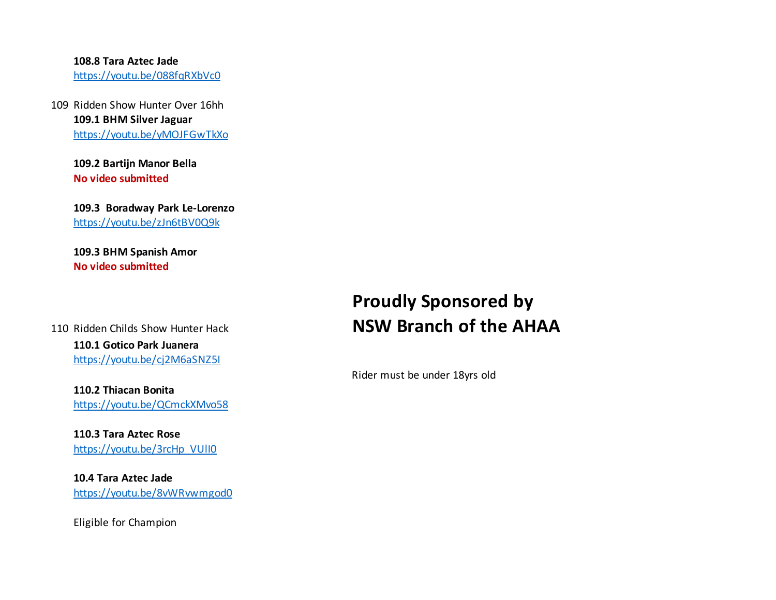#### **108.8 Tara Aztec Jade**

https://youtu.be/088fqRXbVc0

109 Ridden Show Hunter Over 16hh **109.1 BHM Silver Jaguar** https://youtu.be/yMOJFGwTkXo

> **109.2 Bartijn Manor Bella No video submitted**

**109.3 Boradway Park Le-Lorenzo** https://youtu.be/zJn6tBV0Q9k

**109.3 BHM Spanish Amor No video submitted**

#### 110 Ridden Childs Show Hunter Hack **110.1 Gotico Park Juanera** https://youtu.be/cj2M6aSNZ5I

**110.2 Thiacan Bonita** https://youtu.be/QCmckXMvo58

**110.3 Tara Aztec Rose** https://youtu.be/3rcHp\_VUII0

**10.4 Tara Aztec Jade** https://youtu.be/8vWRvwmgod0

Eligible for Champion

## **Proudly Sponsored by NSW Branch of the AHAA**

Rider must be under 18yrs old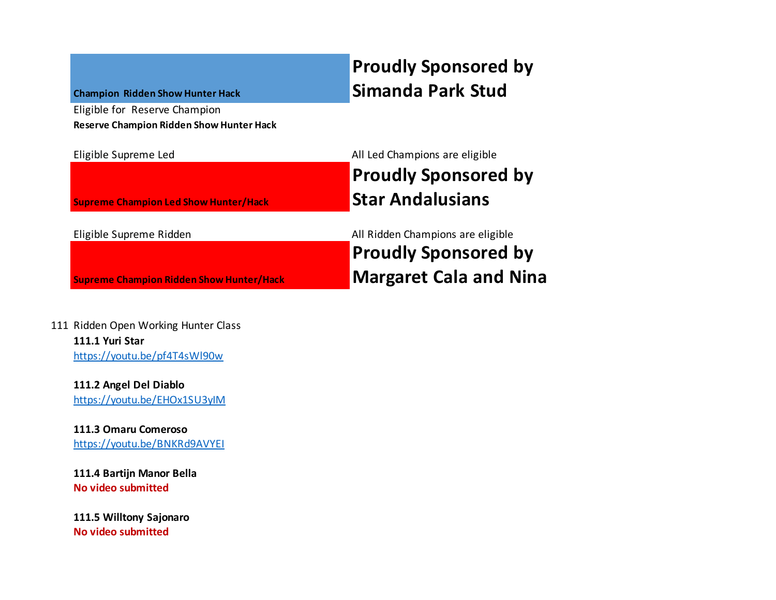#### **Champion Ridden Show Hunter Hack**

Eligible for Reserve Champion **Reserve Champion Ridden Show Hunter Hack**

**Supreme Champion Led Show Hunter/Hack**

**Supreme Champion Ridden Show Hunter/Hack**

## **Proudly Sponsored by Simanda Park Stud**

Eligible Supreme Led **All Led Champions are eligible Proudly Sponsored by Star Andalusians**

Eligible Supreme Ridden All Ridden Champions are eligible **Proudly Sponsored by Margaret Cala and Nina** 

111 Ridden Open Working Hunter Class **111.1 Yuri Star** https://youtu.be/pf4T4sWl90w

> **111.2 Angel Del Diablo** https://youtu.be/EHOx1SU3yIM

> **111.3 Omaru Comeroso** https://youtu.be/BNKRd9AVYEI

**111.4 Bartijn Manor Bella No video submitted**

**111.5 Willtony Sajonaro No video submitted**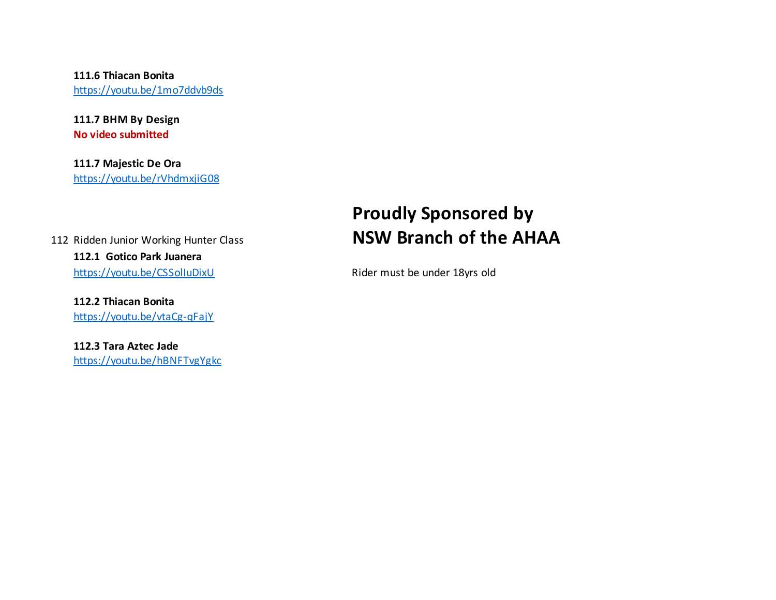**111.6 Thiacan Bonita** https://youtu.be/1mo7ddvb9ds

**111.7 BHM By Design No video submitted**

**111.7 Majestic De Ora** https://youtu.be/rVhdmxjiG08

112 Ridden Junior Working Hunter Class **112.1 Gotico Park Juanera** https://youtu.be/CSSolIuDixU Rider must be under 18yrs old

**112.2 Thiacan Bonita** https://youtu.be/vtaCg-qFajY

**112.3 Tara Aztec Jade** https://youtu.be/hBNFTvgYgkc

## **Proudly Sponsored by NSW Branch of the AHAA**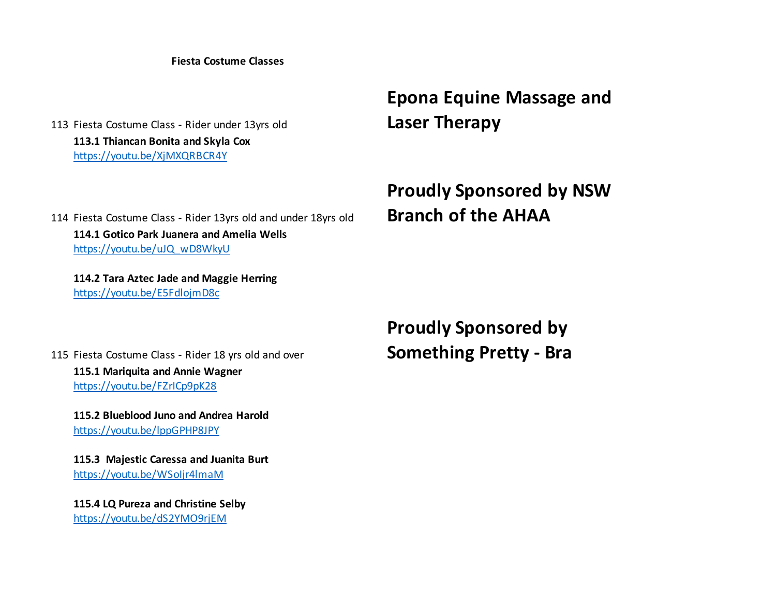**Fiesta Costume Classes**

113 Fiesta Costume Class - Rider under 13yrs old **113.1 Thiancan Bonita and Skyla Cox** https://youtu.be/XjMXQRBCR4Y

**Epona Equine Massage and Laser Therapy**

114 Fiesta Costume Class - Rider 13yrs old and under 18yrs old **Proudly Sponsored by NSW Branch of the AHAA 114.1 Gotico Park Juanera and Amelia Wells** https://youtu.be/uJQ\_wD8WkyU

**114.2 Tara Aztec Jade and Maggie Herring** https://youtu.be/E5FdlojmD8c

> **Proudly Sponsored by Something Pretty - Bra**

115 Fiesta Costume Class - Rider 18 yrs old and over **115.1 Mariquita and Annie Wagner** https://youtu.be/FZrICp9pK28

**115.2 Blueblood Juno and Andrea Harold** https://youtu.be/lppGPHP8JPY

**115.3 Majestic Caressa and Juanita Burt** https://youtu.be/WSoIjr4lmaM

**115.4 LQ Pureza and Christine Selby** https://youtu.be/dS2YMO9rjEM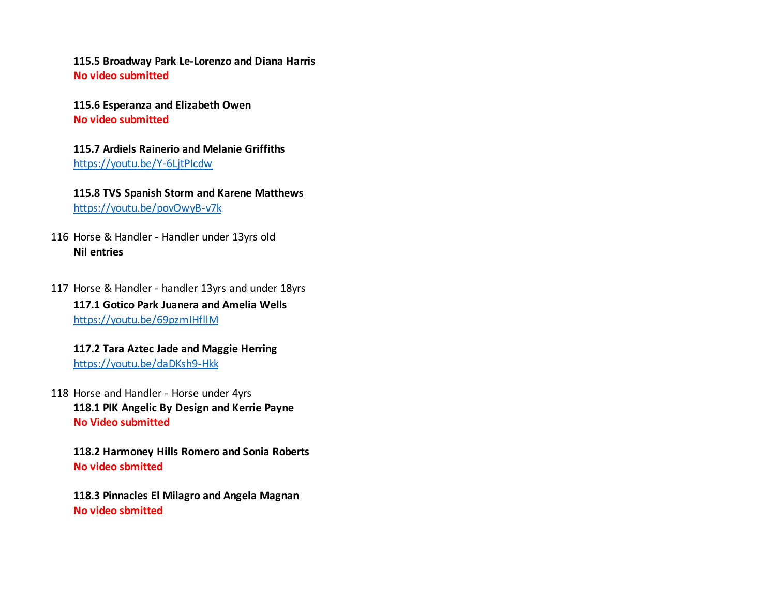**115.5 Broadway Park Le-Lorenzo and Diana Harris No video submitted**

**115.6 Esperanza and Elizabeth Owen No video submitted**

**115.7 Ardiels Rainerio and Melanie Griffiths** https://youtu.be/Y-6LjtPIcdw

**115.8 TVS Spanish Storm and Karene Matthews** https://youtu.be/povOwyB-v7k

116 Horse & Handler - Handler under 13yrs old **Nil entries**

117 Horse & Handler - handler 13yrs and under 18yrs **117.1 Gotico Park Juanera and Amelia Wells** https://youtu.be/69pzmIHfllM

**117.2 Tara Aztec Jade and Maggie Herring** https://youtu.be/daDKsh9-Hkk

118 Horse and Handler - Horse under 4yrs **118.1 PIK Angelic By Design and Kerrie Payne No Video submitted**

**118.2 Harmoney Hills Romero and Sonia Roberts No video sbmitted**

**118.3 Pinnacles El Milagro and Angela Magnan No video sbmitted**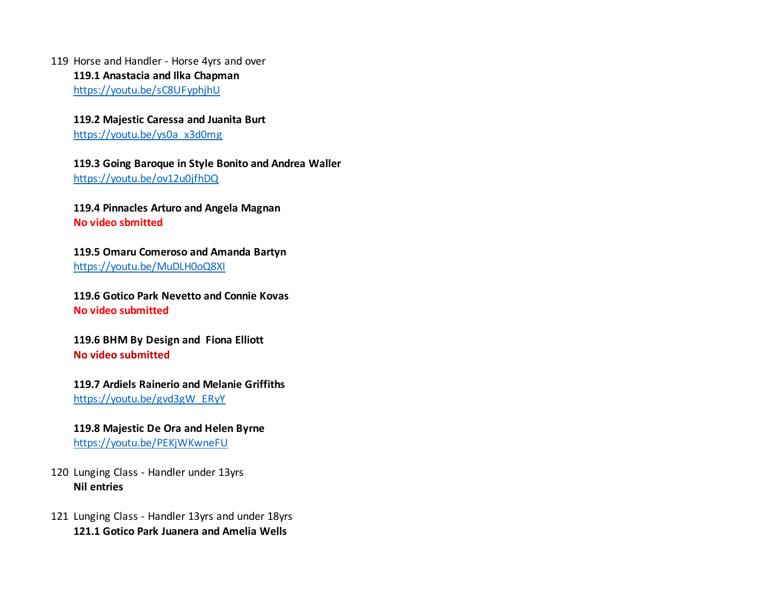119 Horse and Handler - Horse 4yrs and over **119.1 Anastacia and Ilka Chapman** https://youtu.be/sC8UFyphjhU

> **119.2 Majestic Caressa and Juanita Burt** https://youtu.be/ys0a\_x3d0mg

#### **119.3 Going Baroque in Style Bonito and Andrea Waller** https://youtu.be/ov12u0jfhDQ

**119.4 Pinnacles Arturo and Angela Magnan No video sbmitted**

**119.5 Omaru Comeroso and Amanda Bartyn** https://youtu.be/MuDLH0oQ8XI

**119.6 Gotico Park Nevetto and Connie Kovas No video submitted**

**119.6 BHM By Design and Fiona Elliott No video submitted**

**119.7 Ardiels Rainerio and Melanie Griffiths** https://youtu.be/gvd3gW\_ERyY

**119.8 Majestic De Ora and Helen Byrne** https://youtu.be/PEKjWKwneFU

120 Lunging Class - Handler under 13yrs **Nil entries**

121 Lunging Class - Handler 13yrs and under 18yrs **121.1 Gotico Park Juanera and Amelia Wells**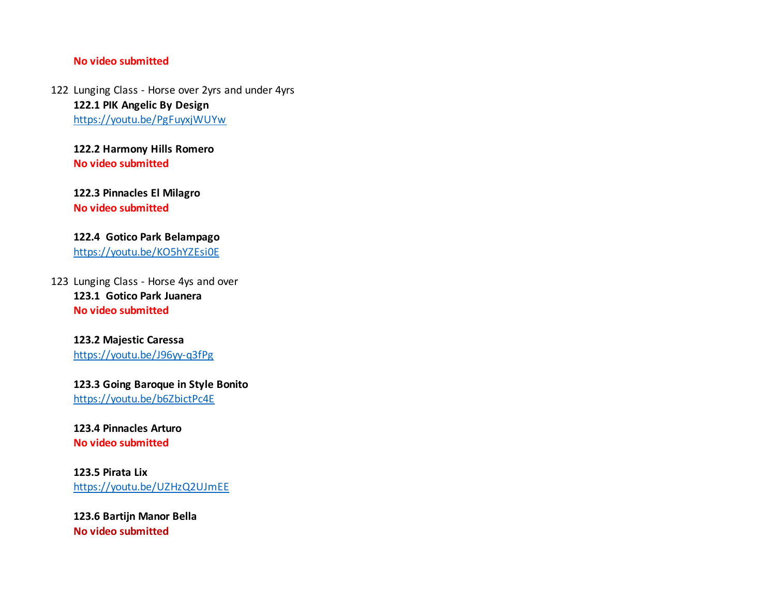#### **No video submitted**

122 Lunging Class - Horse over 2yrs and under 4yrs **122.1 PIK Angelic By Design**  https://youtu.be/PgFuyxjWUYw

**122.2 Harmony Hills Romero No video submitted**

**122.3 Pinnacles El Milagro No video submitted**

#### **122.4 Gotico Park Belampago**  https://youtu.be/KO5hYZEsi0E

123 Lunging Class - Horse 4ys and over **123.1 Gotico Park Juanera No video submitted**

### **123.2 Majestic Caressa**

https://youtu.be/J96yy-q3fPg

#### **123.3 Going Baroque in Style Bonito**  https://youtu.be/b6ZbictPc4E

#### **123.4 Pinnacles Arturo No video submitted**

#### **123.5 Pirata Lix** https://youtu.be/UZHzQ2UJmEE

**123.6 Bartijn Manor Bella No video submitted**